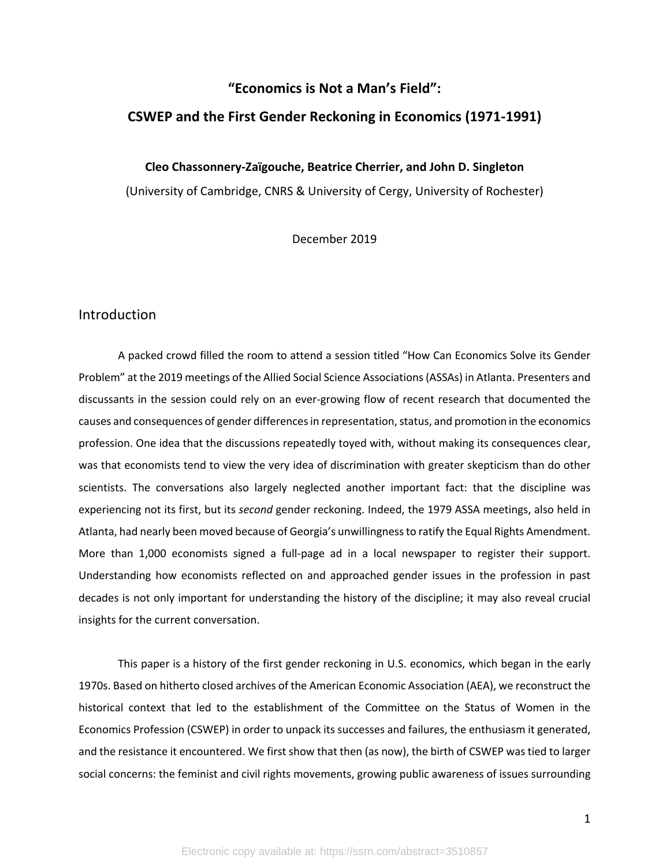## **"Economics is Not a Man's Field":**

### **CSWEP and the First Gender Reckoning in Economics (1971-1991)**

#### **Cleo Chassonnery-Zaïgouche, Beatrice Cherrier, and John D. Singleton**

(University of Cambridge, CNRS & University of Cergy, University of Rochester)

December 2019

### Introduction

A packed crowd filled the room to attend a session titled "How Can Economics Solve its Gender Problem" at the 2019 meetings of the Allied Social Science Associations (ASSAs) in Atlanta. Presenters and discussants in the session could rely on an ever-growing flow of recent research that documented the causes and consequences of gender differencesin representation, status, and promotion in the economics profession. One idea that the discussions repeatedly toyed with, without making its consequences clear, was that economists tend to view the very idea of discrimination with greater skepticism than do other scientists. The conversations also largely neglected another important fact: that the discipline was experiencing not its first, but its *second* gender reckoning. Indeed, the 1979 ASSA meetings, also held in Atlanta, had nearly been moved because of Georgia's unwillingness to ratify the Equal Rights Amendment. More than 1,000 economists signed a full-page ad in a local newspaper to register their support. Understanding how economists reflected on and approached gender issues in the profession in past decades is not only important for understanding the history of the discipline; it may also reveal crucial insights for the current conversation.

This paper is a history of the first gender reckoning in U.S. economics, which began in the early 1970s. Based on hitherto closed archives of the American Economic Association (AEA), we reconstruct the historical context that led to the establishment of the Committee on the Status of Women in the Economics Profession (CSWEP) in order to unpack its successes and failures, the enthusiasm it generated, and the resistance it encountered. We first show that then (as now), the birth of CSWEP was tied to larger social concerns: the feminist and civil rights movements, growing public awareness of issues surrounding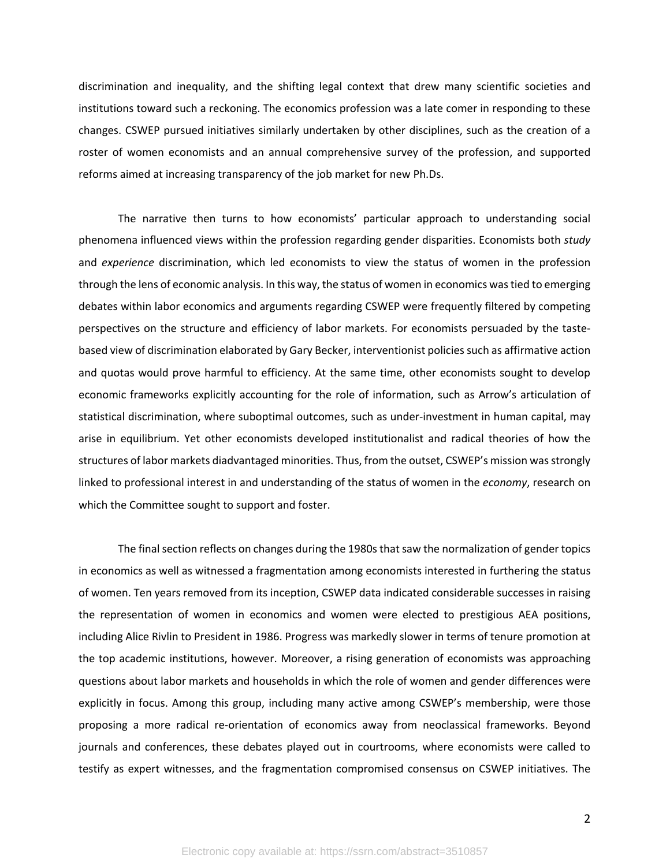discrimination and inequality, and the shifting legal context that drew many scientific societies and institutions toward such a reckoning. The economics profession was a late comer in responding to these changes. CSWEP pursued initiatives similarly undertaken by other disciplines, such as the creation of a roster of women economists and an annual comprehensive survey of the profession, and supported reforms aimed at increasing transparency of the job market for new Ph.Ds.

The narrative then turns to how economists' particular approach to understanding social phenomena influenced views within the profession regarding gender disparities. Economists both *study* and *experience* discrimination, which led economists to view the status of women in the profession through the lens of economic analysis. In this way, the status of women in economics was tied to emerging debates within labor economics and arguments regarding CSWEP were frequently filtered by competing perspectives on the structure and efficiency of labor markets. For economists persuaded by the tastebased view of discrimination elaborated by Gary Becker, interventionist policies such as affirmative action and quotas would prove harmful to efficiency. At the same time, other economists sought to develop economic frameworks explicitly accounting for the role of information, such as Arrow's articulation of statistical discrimination, where suboptimal outcomes, such as under-investment in human capital, may arise in equilibrium. Yet other economists developed institutionalist and radical theories of how the structures of labor markets diadvantaged minorities. Thus, from the outset, CSWEP's mission was strongly linked to professional interest in and understanding of the status of women in the *economy*, research on which the Committee sought to support and foster.

The final section reflects on changes during the 1980s that saw the normalization of gender topics in economics as well as witnessed a fragmentation among economists interested in furthering the status of women. Ten years removed from its inception, CSWEP data indicated considerable successes in raising the representation of women in economics and women were elected to prestigious AEA positions, including Alice Rivlin to President in 1986. Progress was markedly slower in terms of tenure promotion at the top academic institutions, however. Moreover, a rising generation of economists was approaching questions about labor markets and households in which the role of women and gender differences were explicitly in focus. Among this group, including many active among CSWEP's membership, were those proposing a more radical re-orientation of economics away from neoclassical frameworks. Beyond journals and conferences, these debates played out in courtrooms, where economists were called to testify as expert witnesses, and the fragmentation compromised consensus on CSWEP initiatives. The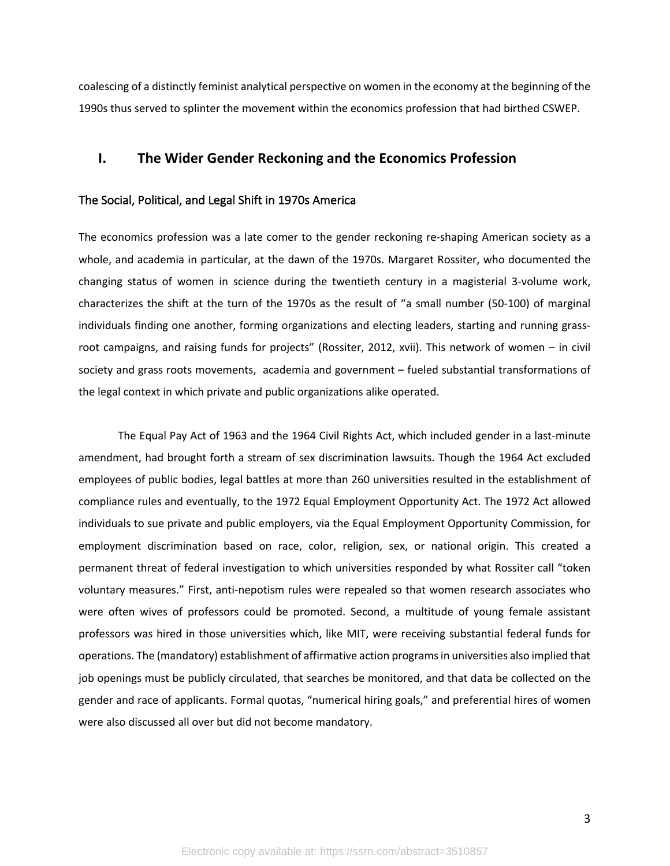coalescing of a distinctly feminist analytical perspective on women in the economy at the beginning of the 1990s thus served to splinter the movement within the economics profession that had birthed CSWEP.

## **I. The Wider Gender Reckoning and the Economics Profession**

#### The Social, Political, and Legal Shift in 1970s America

The economics profession was a late comer to the gender reckoning re-shaping American society as a whole, and academia in particular, at the dawn of the 1970s. Margaret Rossiter, who documented the changing status of women in science during the twentieth century in a magisterial 3-volume work, characterizes the shift at the turn of the 1970s as the result of "a small number (50-100) of marginal individuals finding one another, forming organizations and electing leaders, starting and running grassroot campaigns, and raising funds for projects" (Rossiter, 2012, xvii). This network of women – in civil society and grass roots movements, academia and government – fueled substantial transformations of the legal context in which private and public organizations alike operated.

The Equal Pay Act of 1963 and the 1964 Civil Rights Act, which included gender in a last-minute amendment, had brought forth a stream of sex discrimination lawsuits. Though the 1964 Act excluded employees of public bodies, legal battles at more than 260 universities resulted in the establishment of compliance rules and eventually, to the 1972 Equal Employment Opportunity Act. The 1972 Act allowed individuals to sue private and public employers, via the Equal Employment Opportunity Commission, for employment discrimination based on race, color, religion, sex, or national origin. This created a permanent threat of federal investigation to which universities responded by what Rossiter call "token voluntary measures." First, anti-nepotism rules were repealed so that women research associates who were often wives of professors could be promoted. Second, a multitude of young female assistant professors was hired in those universities which, like MIT, were receiving substantial federal funds for operations. The (mandatory) establishment of affirmative action programs in universities also implied that job openings must be publicly circulated, that searches be monitored, and that data be collected on the gender and race of applicants. Formal quotas, "numerical hiring goals," and preferential hires of women were also discussed all over but did not become mandatory.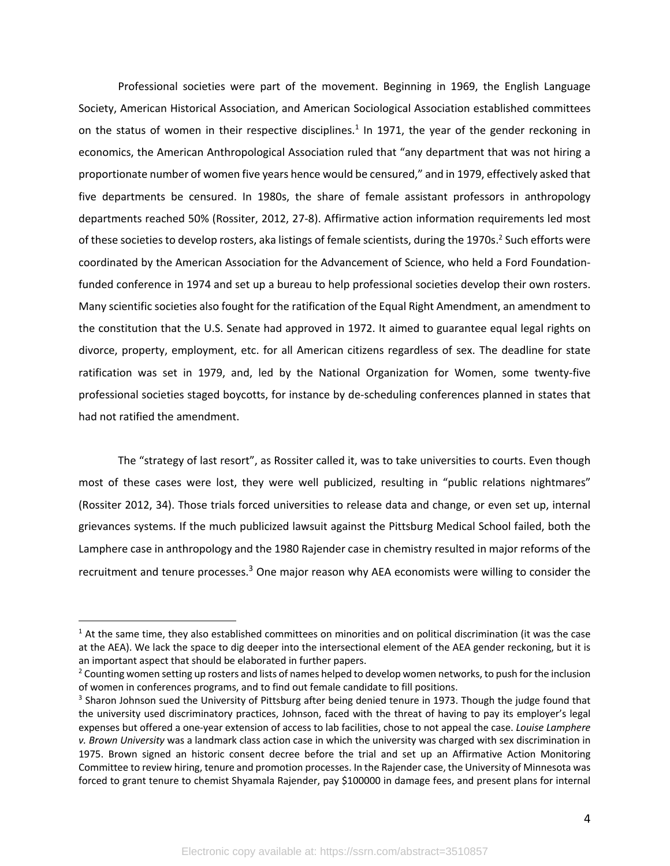Professional societies were part of the movement. Beginning in 1969, the English Language Society, American Historical Association, and American Sociological Association established committees on the status of women in their respective disciplines.<sup>1</sup> In 1971, the year of the gender reckoning in economics, the American Anthropological Association ruled that "any department that was not hiring a proportionate number of women five years hence would be censured," and in 1979, effectively asked that five departments be censured. In 1980s, the share of female assistant professors in anthropology departments reached 50% (Rossiter, 2012, 27-8). Affirmative action information requirements led most of these societies to develop rosters, aka listings of female scientists, during the 1970s.<sup>2</sup> Such efforts were coordinated by the American Association for the Advancement of Science, who held a Ford Foundationfunded conference in 1974 and set up a bureau to help professional societies develop their own rosters. Many scientific societies also fought for the ratification of the Equal Right Amendment, an amendment to the constitution that the U.S. Senate had approved in 1972. It aimed to guarantee equal legal rights on divorce, property, employment, etc. for all American citizens regardless of sex. The deadline for state ratification was set in 1979, and, led by the National Organization for Women, some twenty-five professional societies staged boycotts, for instance by de-scheduling conferences planned in states that had not ratified the amendment.

The "strategy of last resort", as Rossiter called it, was to take universities to courts. Even though most of these cases were lost, they were well publicized, resulting in "public relations nightmares" (Rossiter 2012, 34). Those trials forced universities to release data and change, or even set up, internal grievances systems. If the much publicized lawsuit against the Pittsburg Medical School failed, both the Lamphere case in anthropology and the 1980 Rajender case in chemistry resulted in major reforms of the recruitment and tenure processes.<sup>3</sup> One major reason why AEA economists were willing to consider the

 $1$  At the same time, they also established committees on minorities and on political discrimination (it was the case at the AEA). We lack the space to dig deeper into the intersectional element of the AEA gender reckoning, but it is an important aspect that should be elaborated in further papers.<br><sup>2</sup> Counting women setting up rosters and lists of names helped to develop women networks, to push for the inclusion

of women in conferences programs, and to find out female candidate to fill positions.

<sup>&</sup>lt;sup>3</sup> Sharon Johnson sued the University of Pittsburg after being denied tenure in 1973. Though the judge found that the university used discriminatory practices, Johnson, faced with the threat of having to pay its employer's legal expenses but offered a one-year extension of access to lab facilities, chose to not appeal the case. *Louise Lamphere v. Brown University* was a landmark class action case in which the university was charged with sex discrimination in 1975. Brown signed an historic consent decree before the trial and set up an Affirmative Action Monitoring Committee to review hiring, tenure and promotion processes. In the Rajender case, the University of Minnesota was forced to grant tenure to chemist Shyamala Rajender, pay \$100000 in damage fees, and present plans for internal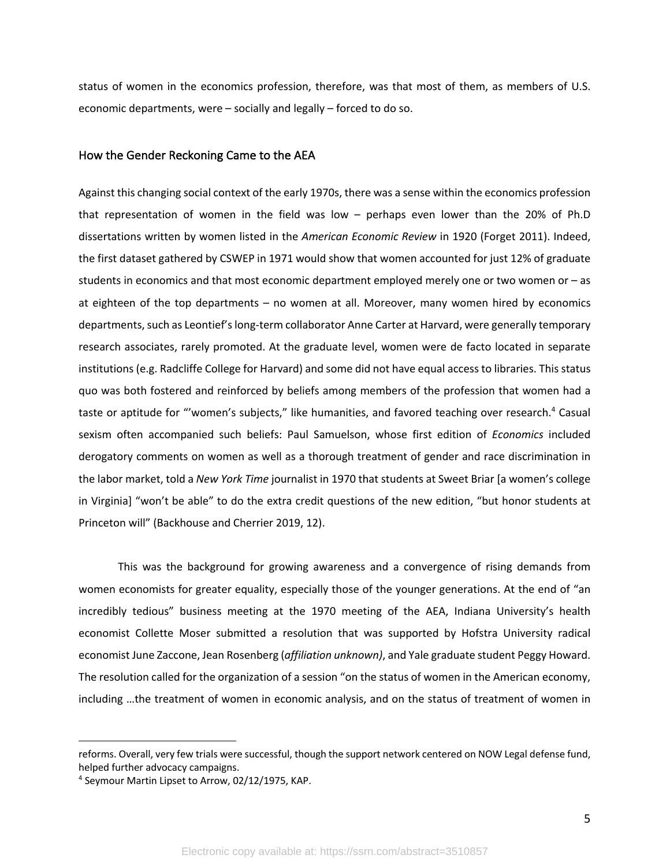status of women in the economics profession, therefore, was that most of them, as members of U.S. economic departments, were – socially and legally – forced to do so.

#### How the Gender Reckoning Came to the AEA

Against this changing social context of the early 1970s, there was a sense within the economics profession that representation of women in the field was low – perhaps even lower than the 20% of Ph.D dissertations written by women listed in the *American Economic Review* in 1920 (Forget 2011). Indeed, the first dataset gathered by CSWEP in 1971 would show that women accounted for just 12% of graduate students in economics and that most economic department employed merely one or two women or – as at eighteen of the top departments – no women at all. Moreover, many women hired by economics departments, such as Leontief's long-term collaborator Anne Carter at Harvard, were generally temporary research associates, rarely promoted. At the graduate level, women were de facto located in separate institutions (e.g. Radcliffe College for Harvard) and some did not have equal access to libraries. This status quo was both fostered and reinforced by beliefs among members of the profession that women had a taste or aptitude for "'women's subjects," like humanities, and favored teaching over research.<sup>4</sup> Casual sexism often accompanied such beliefs: Paul Samuelson, whose first edition of *Economics* included derogatory comments on women as well as a thorough treatment of gender and race discrimination in the labor market, told a *New York Time* journalist in 1970 that students at Sweet Briar [a women's college in Virginia] "won't be able" to do the extra credit questions of the new edition, "but honor students at Princeton will" (Backhouse and Cherrier 2019, 12).

This was the background for growing awareness and a convergence of rising demands from women economists for greater equality, especially those of the younger generations. At the end of "an incredibly tedious" business meeting at the 1970 meeting of the AEA, Indiana University's health economist Collette Moser submitted a resolution that was supported by Hofstra University radical economist June Zaccone, Jean Rosenberg (*affiliation unknown)*, and Yale graduate student Peggy Howard. The resolution called for the organization of a session "on the status of women in the American economy, including …the treatment of women in economic analysis, and on the status of treatment of women in

reforms. Overall, very few trials were successful, though the support network centered on NOW Legal defense fund, helped further advocacy campaigns.<br><sup>4</sup> Seymour Martin Lipset to Arrow, 02/12/1975, KAP.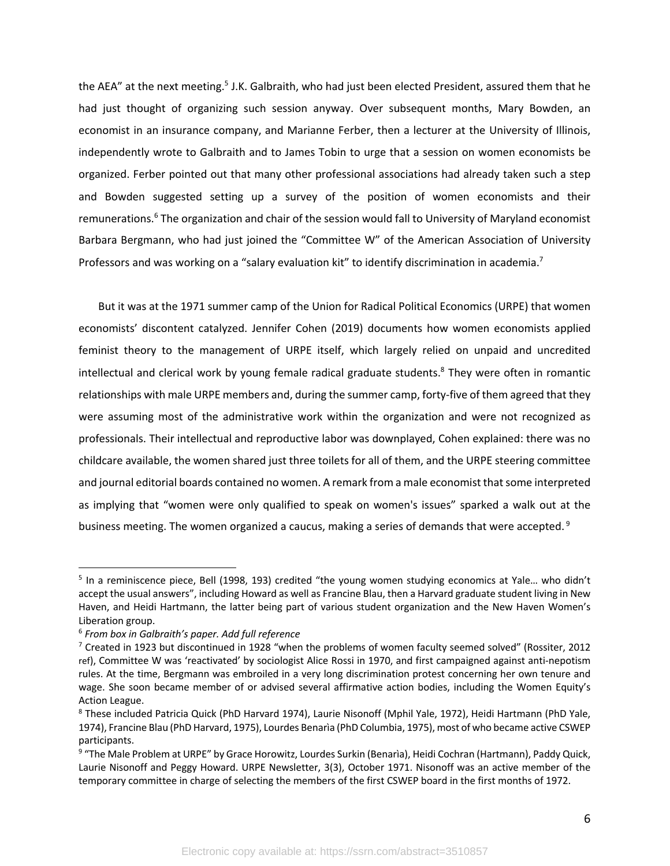the AEA" at the next meeting.<sup>5</sup> J.K. Galbraith, who had just been elected President, assured them that he had just thought of organizing such session anyway. Over subsequent months, Mary Bowden, an economist in an insurance company, and Marianne Ferber, then a lecturer at the University of Illinois, independently wrote to Galbraith and to James Tobin to urge that a session on women economists be organized. Ferber pointed out that many other professional associations had already taken such a step and Bowden suggested setting up a survey of the position of women economists and their remunerations.<sup>6</sup> The organization and chair of the session would fall to University of Maryland economist Barbara Bergmann, who had just joined the "Committee W" of the American Association of University Professors and was working on a "salary evaluation kit" to identify discrimination in academia.<sup>7</sup>

But it was at the 1971 summer camp of the Union for Radical Political Economics (URPE) that women economists' discontent catalyzed. Jennifer Cohen (2019) documents how women economists applied feminist theory to the management of URPE itself, which largely relied on unpaid and uncredited intellectual and clerical work by young female radical graduate students.<sup>8</sup> They were often in romantic relationships with male URPE members and, during the summer camp, forty-five of them agreed that they were assuming most of the administrative work within the organization and were not recognized as professionals. Their intellectual and reproductive labor was downplayed, Cohen explained: there was no childcare available, the women shared just three toilets for all of them, and the URPE steering committee and journal editorial boards contained no women. A remark from a male economist that some interpreted as implying that "women were only qualified to speak on women's issues" sparked a walk out at the business meeting. The women organized a caucus, making a series of demands that were accepted.<sup>9</sup>

<sup>&</sup>lt;sup>5</sup> In a reminiscence piece, Bell (1998, 193) credited "the young women studying economics at Yale... who didn't accept the usual answers", including Howard as well as Francine Blau, then a Harvard graduate student living in New Haven, and Heidi Hartmann, the latter being part of various student organization and the New Haven Women's Liberation group.

<sup>6</sup> *From box in Galbraith's paper. Add full reference*

 $7$  Created in 1923 but discontinued in 1928 "when the problems of women faculty seemed solved" (Rossiter, 2012) ref), Committee W was 'reactivated' by sociologist Alice Rossi in 1970, and first campaigned against anti-nepotism rules. At the time, Bergmann was embroiled in a very long discrimination protest concerning her own tenure and wage. She soon became member of or advised several affirmative action bodies, including the Women Equity's Action League.

<sup>8</sup> These included Patricia Quick (PhD Harvard 1974), Laurie Nisonoff (Mphil Yale, 1972), Heidi Hartmann (PhD Yale, 1974), Francine Blau (PhD Harvard, 1975), Lourdes Benarìa (PhD Columbia, 1975), most of who became active CSWEP participants.

<sup>9 &</sup>quot;The Male Problem at URPE" by Grace Horowitz, Lourdes Surkin (Benarìa), Heidi Cochran (Hartmann), Paddy Quick, Laurie Nisonoff and Peggy Howard. URPE Newsletter, 3(3), October 1971. Nisonoff was an active member of the temporary committee in charge of selecting the members of the first CSWEP board in the first months of 1972.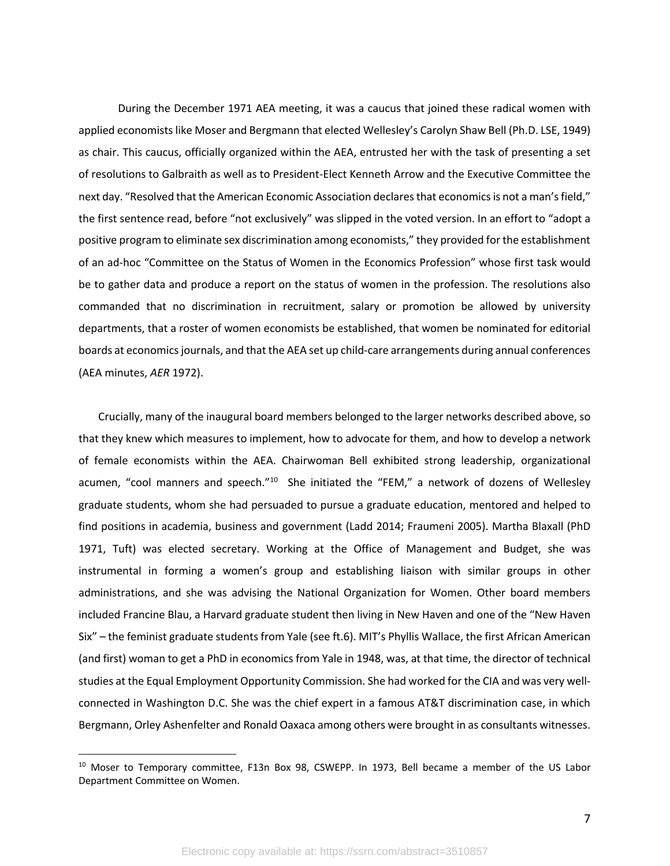During the December 1971 AEA meeting, it was a caucus that joined these radical women with applied economists like Moser and Bergmann that elected Wellesley's Carolyn Shaw Bell (Ph.D. LSE, 1949) as chair. This caucus, officially organized within the AEA, entrusted her with the task of presenting a set of resolutions to Galbraith as well as to President-Elect Kenneth Arrow and the Executive Committee the next day. "Resolved that the American Economic Association declares that economics is not a man's field," the first sentence read, before "not exclusively" was slipped in the voted version. In an effort to "adopt a positive program to eliminate sex discrimination among economists," they provided for the establishment of an ad-hoc "Committee on the Status of Women in the Economics Profession" whose first task would be to gather data and produce a report on the status of women in the profession. The resolutions also commanded that no discrimination in recruitment, salary or promotion be allowed by university departments, that a roster of women economists be established, that women be nominated for editorial boards at economics journals, and that the AEA set up child-care arrangements during annual conferences (AEA minutes, *AER* 1972).

Crucially, many of the inaugural board members belonged to the larger networks described above, so that they knew which measures to implement, how to advocate for them, and how to develop a network of female economists within the AEA. Chairwoman Bell exhibited strong leadership, organizational acumen, "cool manners and speech."<sup>10</sup> She initiated the "FEM," a network of dozens of Wellesley graduate students, whom she had persuaded to pursue a graduate education, mentored and helped to find positions in academia, business and government (Ladd 2014; Fraumeni 2005). Martha Blaxall (PhD 1971, Tuft) was elected secretary. Working at the Office of Management and Budget, she was instrumental in forming a women's group and establishing liaison with similar groups in other administrations, and she was advising the National Organization for Women. Other board members included Francine Blau, a Harvard graduate student then living in New Haven and one of the "New Haven Six" – the feminist graduate students from Yale (see ft.6). MIT's Phyllis Wallace, the first African American (and first) woman to get a PhD in economics from Yale in 1948, was, at that time, the director of technical studies at the Equal Employment Opportunity Commission. She had worked for the CIA and was very wellconnected in Washington D.C. She was the chief expert in a famous AT&T discrimination case, in which Bergmann, Orley Ashenfelter and Ronald Oaxaca among others were brought in as consultants witnesses.

<sup>&</sup>lt;sup>10</sup> Moser to Temporary committee, F13n Box 98, CSWEPP. In 1973, Bell became a member of the US Labor Department Committee on Women.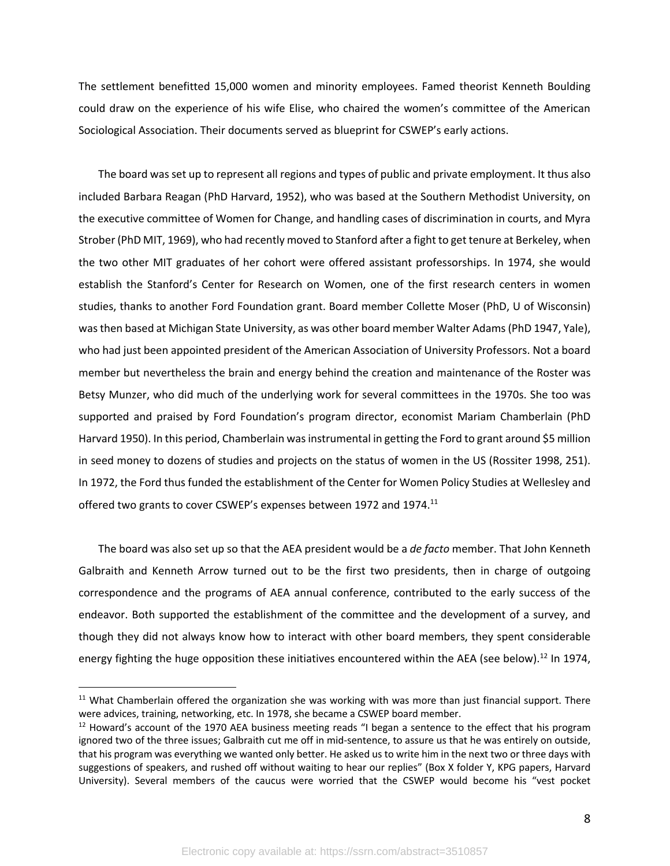The settlement benefitted 15,000 women and minority employees. Famed theorist Kenneth Boulding could draw on the experience of his wife Elise, who chaired the women's committee of the American Sociological Association. Their documents served as blueprint for CSWEP's early actions.

The board was set up to represent all regions and types of public and private employment. It thus also included Barbara Reagan (PhD Harvard, 1952), who was based at the Southern Methodist University, on the executive committee of Women for Change, and handling cases of discrimination in courts, and Myra Strober (PhD MIT, 1969), who had recently moved to Stanford after a fight to get tenure at Berkeley, when the two other MIT graduates of her cohort were offered assistant professorships. In 1974, she would establish the Stanford's Center for Research on Women, one of the first research centers in women studies, thanks to another Ford Foundation grant. Board member Collette Moser (PhD, U of Wisconsin) was then based at Michigan State University, as was other board member Walter Adams (PhD 1947, Yale), who had just been appointed president of the American Association of University Professors. Not a board member but nevertheless the brain and energy behind the creation and maintenance of the Roster was Betsy Munzer, who did much of the underlying work for several committees in the 1970s. She too was supported and praised by Ford Foundation's program director, economist Mariam Chamberlain (PhD Harvard 1950). In this period, Chamberlain was instrumental in getting the Ford to grant around \$5 million in seed money to dozens of studies and projects on the status of women in the US (Rossiter 1998, 251). In 1972, the Ford thus funded the establishment of the Center for Women Policy Studies at Wellesley and offered two grants to cover CSWEP's expenses between 1972 and 1974.<sup>11</sup>

The board was also set up so that the AEA president would be a *de facto* member. That John Kenneth Galbraith and Kenneth Arrow turned out to be the first two presidents, then in charge of outgoing correspondence and the programs of AEA annual conference, contributed to the early success of the endeavor. Both supported the establishment of the committee and the development of a survey, and though they did not always know how to interact with other board members, they spent considerable energy fighting the huge opposition these initiatives encountered within the AEA (see below).<sup>12</sup> In 1974,

<sup>&</sup>lt;sup>11</sup> What Chamberlain offered the organization she was working with was more than just financial support. There were advices, training, networking, etc. In 1978, she became a CSWEP board member.<br><sup>12</sup> Howard's account of the 1970 AEA business meeting reads "I began a sentence to the effect that his program

ignored two of the three issues; Galbraith cut me off in mid-sentence, to assure us that he was entirely on outside, that his program was everything we wanted only better. He asked us to write him in the next two or three days with suggestions of speakers, and rushed off without waiting to hear our replies" (Box X folder Y, KPG papers, Harvard University). Several members of the caucus were worried that the CSWEP would become his "vest pocket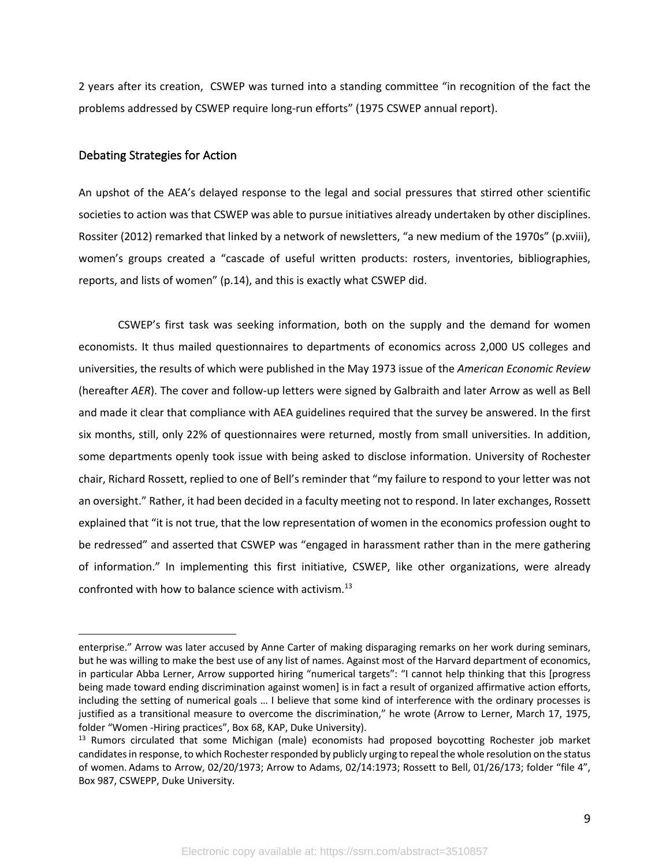2 years after its creation, CSWEP was turned into a standing committee "in recognition of the fact the problems addressed by CSWEP require long-run efforts" (1975 CSWEP annual report).

#### Debating Strategies for Action

An upshot of the AEA's delayed response to the legal and social pressures that stirred other scientific societies to action was that CSWEP was able to pursue initiatives already undertaken by other disciplines. Rossiter (2012) remarked that linked by a network of newsletters, "a new medium of the 1970s" (p.xviii), women's groups created a "cascade of useful written products: rosters, inventories, bibliographies, reports, and lists of women" (p.14), and this is exactly what CSWEP did.

CSWEP's first task was seeking information, both on the supply and the demand for women economists. It thus mailed questionnaires to departments of economics across 2,000 US colleges and universities, the results of which were published in the May 1973 issue of the *American Economic Review* (hereafter *AER*). The cover and follow-up letters were signed by Galbraith and later Arrow as well as Bell and made it clear that compliance with AEA guidelines required that the survey be answered. In the first six months, still, only 22% of questionnaires were returned, mostly from small universities. In addition, some departments openly took issue with being asked to disclose information. University of Rochester chair, Richard Rossett, replied to one of Bell's reminder that "my failure to respond to your letter was not an oversight." Rather, it had been decided in a faculty meeting not to respond. In later exchanges, Rossett explained that "it is not true, that the low representation of women in the economics profession ought to be redressed" and asserted that CSWEP was "engaged in harassment rather than in the mere gathering of information." In implementing this first initiative, CSWEP, like other organizations, were already confronted with how to balance science with activism. 13

enterprise." Arrow was later accused by Anne Carter of making disparaging remarks on her work during seminars, but he was willing to make the best use of any list of names. Against most of the Harvard department of economics, in particular Abba Lerner, Arrow supported hiring "numerical targets": "I cannot help thinking that this [progress being made toward ending discrimination against women] is in fact a result of organized affirmative action efforts, including the setting of numerical goals … I believe that some kind of interference with the ordinary processes is justified as a transitional measure to overcome the discrimination," he wrote (Arrow to Lerner, March 17, 1975, folder "Women -Hiring practices", Box 68, KAP, Duke University).

<sup>&</sup>lt;sup>13</sup> Rumors circulated that some Michigan (male) economists had proposed boycotting Rochester job market candidates in response, to which Rochester responded by publicly urging to repeal the whole resolution on the status of women. Adams to Arrow, 02/20/1973; Arrow to Adams, 02/14:1973; Rossett to Bell, 01/26/173; folder "file 4", Box 987, CSWEPP, Duke University.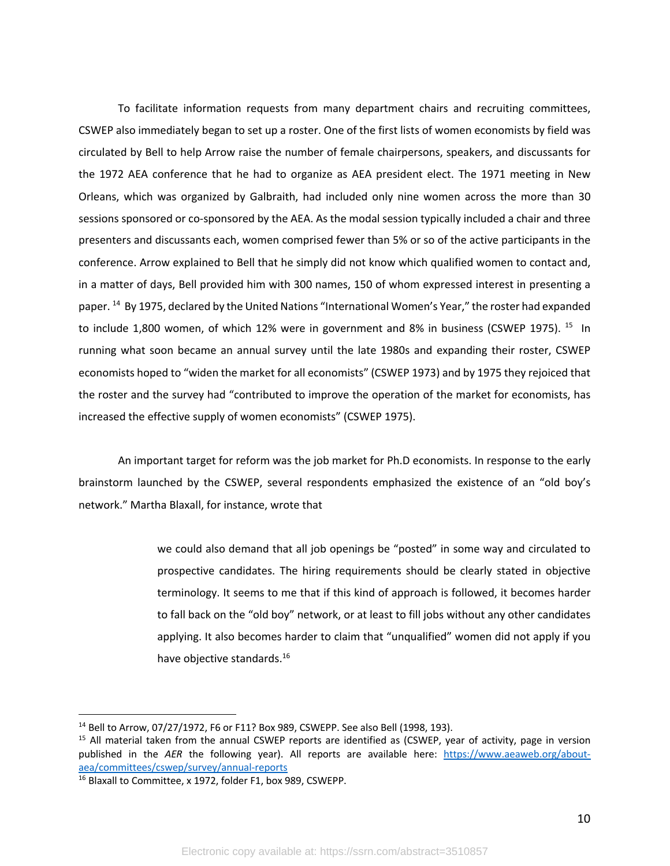To facilitate information requests from many department chairs and recruiting committees, CSWEP also immediately began to set up a roster. One of the first lists of women economists by field was circulated by Bell to help Arrow raise the number of female chairpersons, speakers, and discussants for the 1972 AEA conference that he had to organize as AEA president elect. The 1971 meeting in New Orleans, which was organized by Galbraith, had included only nine women across the more than 30 sessions sponsored or co-sponsored by the AEA. As the modal session typically included a chair and three presenters and discussants each, women comprised fewer than 5% or so of the active participants in the conference. Arrow explained to Bell that he simply did not know which qualified women to contact and, in a matter of days, Bell provided him with 300 names, 150 of whom expressed interest in presenting a paper. <sup>14</sup> By 1975, declared by the United Nations "International Women's Year," the roster had expanded to include 1,800 women, of which 12% were in government and 8% in business (CSWEP 1975).  $15$  In running what soon became an annual survey until the late 1980s and expanding their roster, CSWEP economists hoped to "widen the market for all economists" (CSWEP 1973) and by 1975 they rejoiced that the roster and the survey had "contributed to improve the operation of the market for economists, has increased the effective supply of women economists" (CSWEP 1975).

An important target for reform was the job market for Ph.D economists. In response to the early brainstorm launched by the CSWEP, several respondents emphasized the existence of an "old boy's network." Martha Blaxall, for instance, wrote that

> we could also demand that all job openings be "posted" in some way and circulated to prospective candidates. The hiring requirements should be clearly stated in objective terminology. It seems to me that if this kind of approach is followed, it becomes harder to fall back on the "old boy" network, or at least to fill jobs without any other candidates applying. It also becomes harder to claim that "unqualified" women did not apply if you have objective standards.<sup>16</sup>

<sup>&</sup>lt;sup>14</sup> Bell to Arrow, 07/27/1972, F6 or F11? Box 989, CSWEPP. See also Bell (1998, 193).<br><sup>15</sup> All material taken from the annual CSWEP reports are identified as (CSWEP, year of activity, page in version published in the *AER* the following year). All reports are available here: https://www.aeaweb.org/aboutaea/committees/cswep/survey/annual-reports

<sup>16</sup> Blaxall to Committee, x 1972, folder F1, box 989, CSWEPP.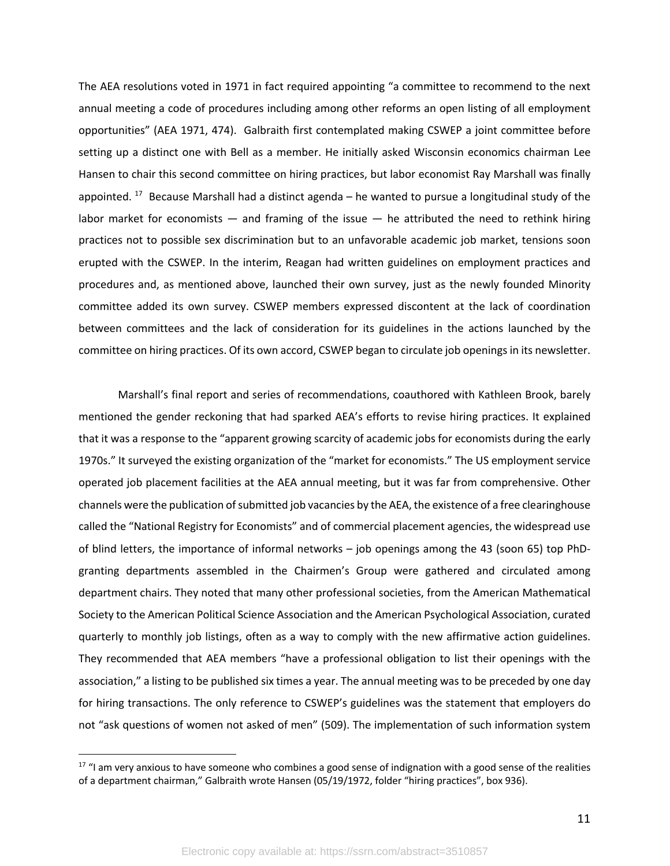The AEA resolutions voted in 1971 in fact required appointing "a committee to recommend to the next annual meeting a code of procedures including among other reforms an open listing of all employment opportunities" (AEA 1971, 474). Galbraith first contemplated making CSWEP a joint committee before setting up a distinct one with Bell as a member. He initially asked Wisconsin economics chairman Lee Hansen to chair this second committee on hiring practices, but labor economist Ray Marshall was finally appointed. <sup>17</sup> Because Marshall had a distinct agenda – he wanted to pursue a longitudinal study of the labor market for economists  $-$  and framing of the issue  $-$  he attributed the need to rethink hiring practices not to possible sex discrimination but to an unfavorable academic job market, tensions soon erupted with the CSWEP. In the interim, Reagan had written guidelines on employment practices and procedures and, as mentioned above, launched their own survey, just as the newly founded Minority committee added its own survey. CSWEP members expressed discontent at the lack of coordination between committees and the lack of consideration for its guidelines in the actions launched by the committee on hiring practices. Of its own accord, CSWEP began to circulate job openings in its newsletter.

Marshall's final report and series of recommendations, coauthored with Kathleen Brook, barely mentioned the gender reckoning that had sparked AEA's efforts to revise hiring practices. It explained that it was a response to the "apparent growing scarcity of academic jobs for economists during the early 1970s." It surveyed the existing organization of the "market for economists." The US employment service operated job placement facilities at the AEA annual meeting, but it was far from comprehensive. Other channels were the publication of submitted job vacancies by the AEA, the existence of a free clearinghouse called the "National Registry for Economists" and of commercial placement agencies, the widespread use of blind letters, the importance of informal networks – job openings among the 43 (soon 65) top PhDgranting departments assembled in the Chairmen's Group were gathered and circulated among department chairs. They noted that many other professional societies, from the American Mathematical Society to the American Political Science Association and the American Psychological Association, curated quarterly to monthly job listings, often as a way to comply with the new affirmative action guidelines. They recommended that AEA members "have a professional obligation to list their openings with the association," a listing to be published six times a year. The annual meeting was to be preceded by one day for hiring transactions. The only reference to CSWEP's guidelines was the statement that employers do not "ask questions of women not asked of men" (509). The implementation of such information system

 $17$  "I am very anxious to have someone who combines a good sense of indignation with a good sense of the realities of a department chairman," Galbraith wrote Hansen (05/19/1972, folder "hiring practices", box 936).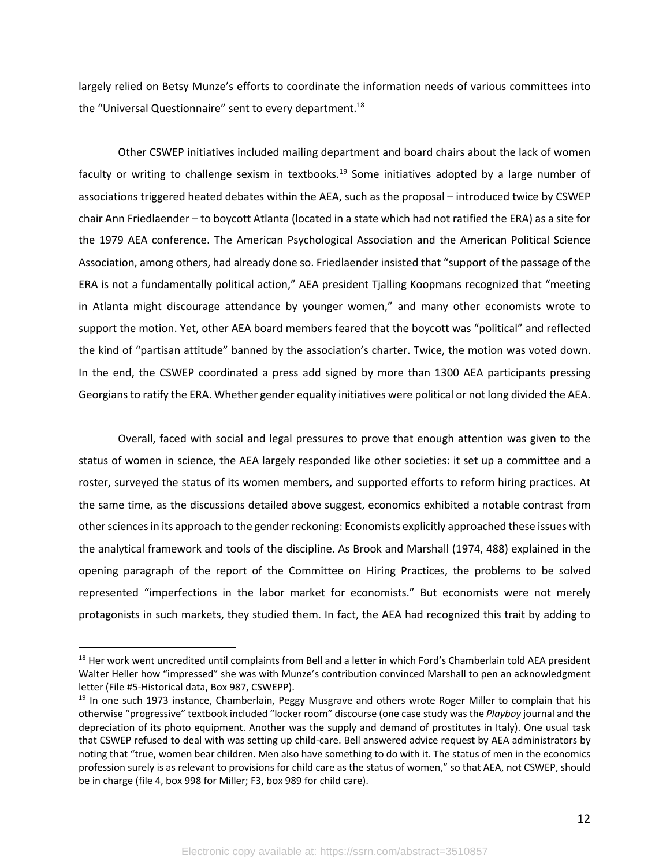largely relied on Betsy Munze's efforts to coordinate the information needs of various committees into the "Universal Questionnaire" sent to every department.<sup>18</sup>

Other CSWEP initiatives included mailing department and board chairs about the lack of women faculty or writing to challenge sexism in textbooks.<sup>19</sup> Some initiatives adopted by a large number of associations triggered heated debates within the AEA, such as the proposal – introduced twice by CSWEP chair Ann Friedlaender – to boycott Atlanta (located in a state which had not ratified the ERA) as a site for the 1979 AEA conference. The American Psychological Association and the American Political Science Association, among others, had already done so. Friedlaender insisted that "support of the passage of the ERA is not a fundamentally political action," AEA president Tjalling Koopmans recognized that "meeting in Atlanta might discourage attendance by younger women," and many other economists wrote to support the motion. Yet, other AEA board members feared that the boycott was "political" and reflected the kind of "partisan attitude" banned by the association's charter. Twice, the motion was voted down. In the end, the CSWEP coordinated a press add signed by more than 1300 AEA participants pressing Georgiansto ratify the ERA. Whether gender equality initiatives were political or not long divided the AEA.

Overall, faced with social and legal pressures to prove that enough attention was given to the status of women in science, the AEA largely responded like other societies: it set up a committee and a roster, surveyed the status of its women members, and supported efforts to reform hiring practices. At the same time, as the discussions detailed above suggest, economics exhibited a notable contrast from other sciencesin its approach to the gender reckoning: Economists explicitly approached these issues with the analytical framework and tools of the discipline. As Brook and Marshall (1974, 488) explained in the opening paragraph of the report of the Committee on Hiring Practices, the problems to be solved represented "imperfections in the labor market for economists." But economists were not merely protagonists in such markets, they studied them. In fact, the AEA had recognized this trait by adding to

<sup>&</sup>lt;sup>18</sup> Her work went uncredited until complaints from Bell and a letter in which Ford's Chamberlain told AEA president Walter Heller how "impressed" she was with Munze's contribution convinced Marshall to pen an acknowledgment letter (File #5-Historical data, Box 987, CSWEPP).<br><sup>19</sup> In one such 1973 instance, Chamberlain, Peggy Musgrave and others wrote Roger Miller to complain that his

otherwise "progressive" textbook included "locker room" discourse (one case study was the *Playboy* journal and the depreciation of its photo equipment. Another was the supply and demand of prostitutes in Italy). One usual task that CSWEP refused to deal with was setting up child-care. Bell answered advice request by AEA administrators by noting that "true, women bear children. Men also have something to do with it. The status of men in the economics profession surely is as relevant to provisions for child care as the status of women," so that AEA, not CSWEP, should be in charge (file 4, box 998 for Miller; F3, box 989 for child care).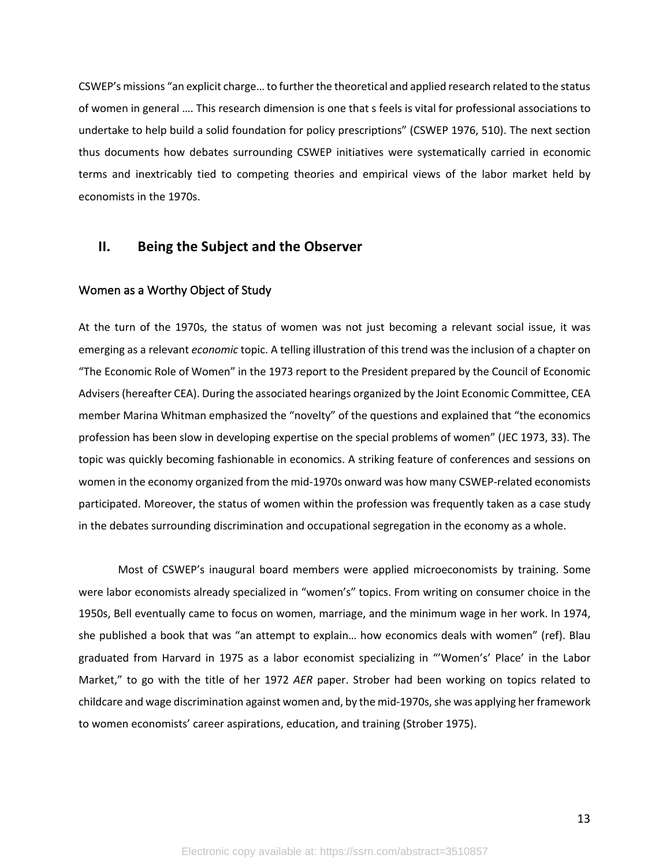CSWEP's missions "an explicit charge… to further the theoretical and applied research related to the status of women in general …. This research dimension is one that s feels is vital for professional associations to undertake to help build a solid foundation for policy prescriptions" (CSWEP 1976, 510). The next section thus documents how debates surrounding CSWEP initiatives were systematically carried in economic terms and inextricably tied to competing theories and empirical views of the labor market held by economists in the 1970s.

### **II. Being the Subject and the Observer**

#### Women as a Worthy Object of Study

At the turn of the 1970s, the status of women was not just becoming a relevant social issue, it was emerging as a relevant *economic* topic. A telling illustration of this trend was the inclusion of a chapter on "The Economic Role of Women" in the 1973 report to the President prepared by the Council of Economic Advisers (hereafter CEA). During the associated hearings organized by the Joint Economic Committee, CEA member Marina Whitman emphasized the "novelty" of the questions and explained that "the economics profession has been slow in developing expertise on the special problems of women" (JEC 1973, 33). The topic was quickly becoming fashionable in economics. A striking feature of conferences and sessions on women in the economy organized from the mid-1970s onward was how many CSWEP-related economists participated. Moreover, the status of women within the profession was frequently taken as a case study in the debates surrounding discrimination and occupational segregation in the economy as a whole.

Most of CSWEP's inaugural board members were applied microeconomists by training. Some were labor economists already specialized in "women's" topics. From writing on consumer choice in the 1950s, Bell eventually came to focus on women, marriage, and the minimum wage in her work. In 1974, she published a book that was "an attempt to explain… how economics deals with women" (ref). Blau graduated from Harvard in 1975 as a labor economist specializing in "'Women's' Place' in the Labor Market," to go with the title of her 1972 *AER* paper. Strober had been working on topics related to childcare and wage discrimination against women and, by the mid-1970s, she was applying her framework to women economists' career aspirations, education, and training (Strober 1975).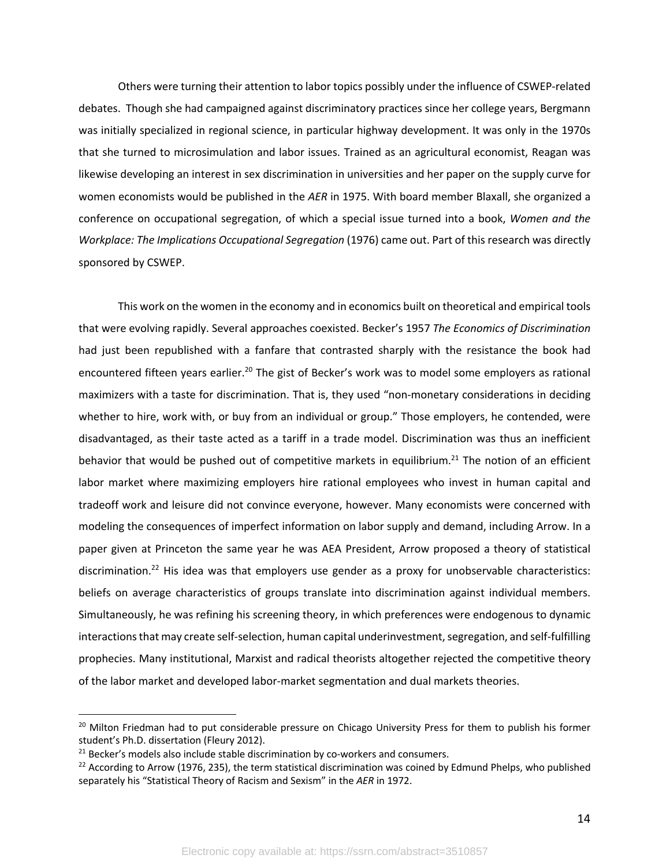Others were turning their attention to labor topics possibly under the influence of CSWEP-related debates. Though she had campaigned against discriminatory practices since her college years, Bergmann was initially specialized in regional science, in particular highway development. It was only in the 1970s that she turned to microsimulation and labor issues. Trained as an agricultural economist, Reagan was likewise developing an interest in sex discrimination in universities and her paper on the supply curve for women economists would be published in the *AER* in 1975. With board member Blaxall, she organized a conference on occupational segregation, of which a special issue turned into a book, *Women and the Workplace: The Implications Occupational Segregation* (1976) came out. Part of this research was directly sponsored by CSWEP.

This work on the women in the economy and in economics built on theoretical and empirical tools that were evolving rapidly. Several approaches coexisted. Becker's 1957 *The Economics of Discrimination* had just been republished with a fanfare that contrasted sharply with the resistance the book had encountered fifteen years earlier.<sup>20</sup> The gist of Becker's work was to model some employers as rational maximizers with a taste for discrimination. That is, they used "non-monetary considerations in deciding whether to hire, work with, or buy from an individual or group." Those employers, he contended, were disadvantaged, as their taste acted as a tariff in a trade model. Discrimination was thus an inefficient behavior that would be pushed out of competitive markets in equilibrium.<sup>21</sup> The notion of an efficient labor market where maximizing employers hire rational employees who invest in human capital and tradeoff work and leisure did not convince everyone, however. Many economists were concerned with modeling the consequences of imperfect information on labor supply and demand, including Arrow. In a paper given at Princeton the same year he was AEA President, Arrow proposed a theory of statistical discrimination.<sup>22</sup> His idea was that employers use gender as a proxy for unobservable characteristics: beliefs on average characteristics of groups translate into discrimination against individual members. Simultaneously, he was refining his screening theory, in which preferences were endogenous to dynamic interactions that may create self-selection, human capital underinvestment, segregation, and self-fulfilling prophecies. Many institutional, Marxist and radical theorists altogether rejected the competitive theory of the labor market and developed labor-market segmentation and dual markets theories.

<sup>&</sup>lt;sup>20</sup> Milton Friedman had to put considerable pressure on Chicago University Press for them to publish his former student's Ph.D. dissertation (Fleury 2012).

 $21$  Becker's models also include stable discrimination by co-workers and consumers.

 $22$  According to Arrow (1976, 235), the term statistical discrimination was coined by Edmund Phelps, who published separately his "Statistical Theory of Racism and Sexism" in the *AER* in 1972.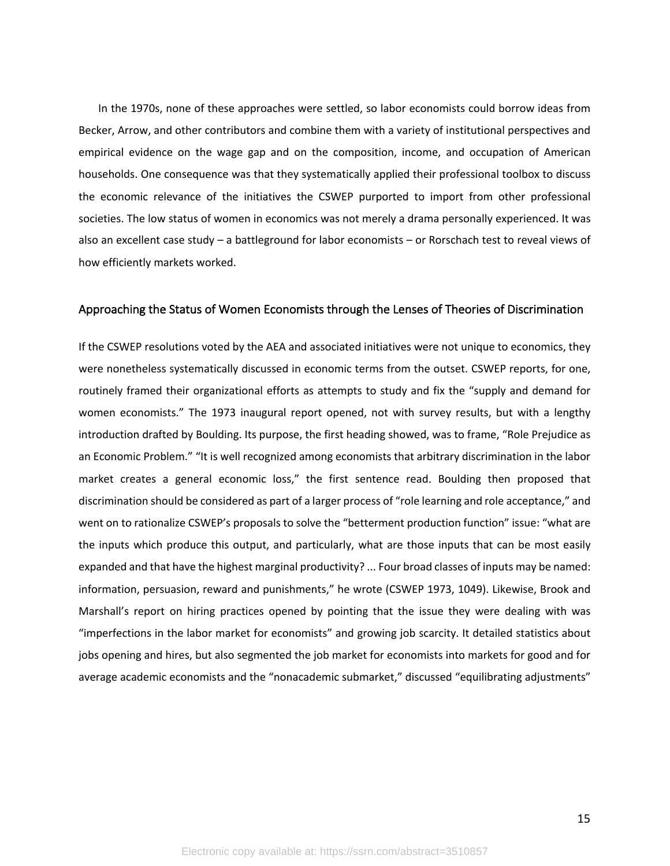In the 1970s, none of these approaches were settled, so labor economists could borrow ideas from Becker, Arrow, and other contributors and combine them with a variety of institutional perspectives and empirical evidence on the wage gap and on the composition, income, and occupation of American households. One consequence was that they systematically applied their professional toolbox to discuss the economic relevance of the initiatives the CSWEP purported to import from other professional societies. The low status of women in economics was not merely a drama personally experienced. It was also an excellent case study – a battleground for labor economists – or Rorschach test to reveal views of how efficiently markets worked.

#### Approaching the Status of Women Economists through the Lenses of Theories of Discrimination

If the CSWEP resolutions voted by the AEA and associated initiatives were not unique to economics, they were nonetheless systematically discussed in economic terms from the outset. CSWEP reports, for one, routinely framed their organizational efforts as attempts to study and fix the "supply and demand for women economists." The 1973 inaugural report opened, not with survey results, but with a lengthy introduction drafted by Boulding. Its purpose, the first heading showed, was to frame, "Role Prejudice as an Economic Problem." "It is well recognized among economists that arbitrary discrimination in the labor market creates a general economic loss," the first sentence read. Boulding then proposed that discrimination should be considered as part of a larger process of "role learning and role acceptance," and went on to rationalize CSWEP's proposals to solve the "betterment production function" issue: "what are the inputs which produce this output, and particularly, what are those inputs that can be most easily expanded and that have the highest marginal productivity? ... Four broad classes of inputs may be named: information, persuasion, reward and punishments," he wrote (CSWEP 1973, 1049). Likewise, Brook and Marshall's report on hiring practices opened by pointing that the issue they were dealing with was "imperfections in the labor market for economists" and growing job scarcity. It detailed statistics about jobs opening and hires, but also segmented the job market for economists into markets for good and for average academic economists and the "nonacademic submarket," discussed "equilibrating adjustments"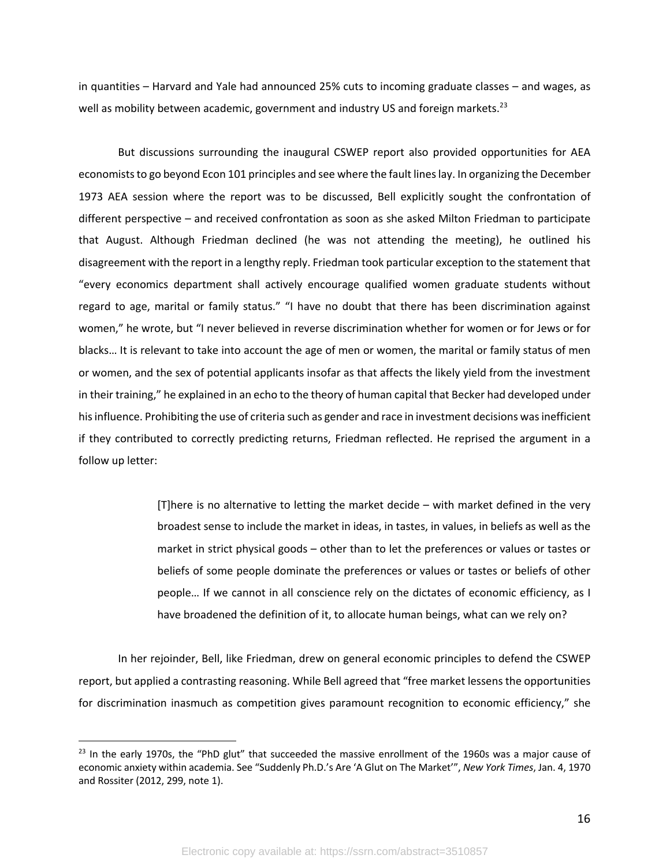in quantities – Harvard and Yale had announced 25% cuts to incoming graduate classes – and wages, as well as mobility between academic, government and industry US and foreign markets.<sup>23</sup>

But discussions surrounding the inaugural CSWEP report also provided opportunities for AEA economists to go beyond Econ 101 principles and see where the fault lines lay. In organizing the December 1973 AEA session where the report was to be discussed, Bell explicitly sought the confrontation of different perspective – and received confrontation as soon as she asked Milton Friedman to participate that August. Although Friedman declined (he was not attending the meeting), he outlined his disagreement with the report in a lengthy reply. Friedman took particular exception to the statement that "every economics department shall actively encourage qualified women graduate students without regard to age, marital or family status." "I have no doubt that there has been discrimination against women," he wrote, but "I never believed in reverse discrimination whether for women or for Jews or for blacks… It is relevant to take into account the age of men or women, the marital or family status of men or women, and the sex of potential applicants insofar as that affects the likely yield from the investment in their training," he explained in an echo to the theory of human capital that Becker had developed under his influence. Prohibiting the use of criteria such as gender and race in investment decisions was inefficient if they contributed to correctly predicting returns, Friedman reflected. He reprised the argument in a follow up letter:

> [T]here is no alternative to letting the market decide – with market defined in the very broadest sense to include the market in ideas, in tastes, in values, in beliefs as well as the market in strict physical goods – other than to let the preferences or values or tastes or beliefs of some people dominate the preferences or values or tastes or beliefs of other people… If we cannot in all conscience rely on the dictates of economic efficiency, as I have broadened the definition of it, to allocate human beings, what can we rely on?

In her rejoinder, Bell, like Friedman, drew on general economic principles to defend the CSWEP report, but applied a contrasting reasoning. While Bell agreed that "free market lessens the opportunities for discrimination inasmuch as competition gives paramount recognition to economic efficiency," she

<sup>&</sup>lt;sup>23</sup> In the early 1970s, the "PhD glut" that succeeded the massive enrollment of the 1960s was a major cause of economic anxiety within academia. See "Suddenly Ph.D.'s Are 'A Glut on The Market'", *New York Times*, Jan. 4, 1970 and Rossiter (2012, 299, note 1).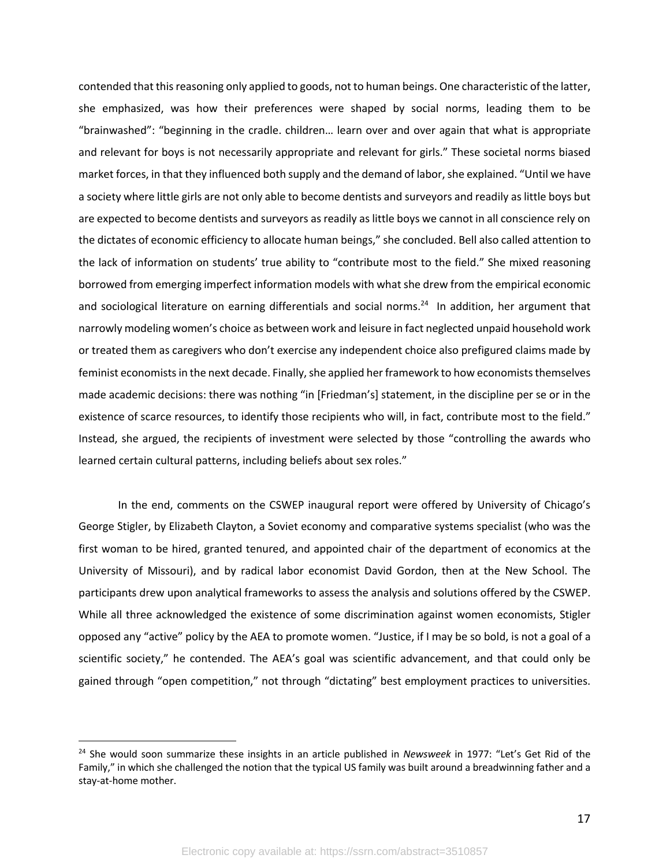contended that this reasoning only applied to goods, not to human beings. One characteristic of the latter, she emphasized, was how their preferences were shaped by social norms, leading them to be "brainwashed": "beginning in the cradle. children… learn over and over again that what is appropriate and relevant for boys is not necessarily appropriate and relevant for girls." These societal norms biased market forces, in that they influenced both supply and the demand of labor, she explained. "Until we have a society where little girls are not only able to become dentists and surveyors and readily as little boys but are expected to become dentists and surveyors as readily as little boys we cannot in all conscience rely on the dictates of economic efficiency to allocate human beings," she concluded. Bell also called attention to the lack of information on students' true ability to "contribute most to the field." She mixed reasoning borrowed from emerging imperfect information models with what she drew from the empirical economic and sociological literature on earning differentials and social norms.<sup>24</sup> In addition, her argument that narrowly modeling women's choice as between work and leisure in fact neglected unpaid household work or treated them as caregivers who don't exercise any independent choice also prefigured claims made by feminist economists in the next decade. Finally, she applied her framework to how economists themselves made academic decisions: there was nothing "in [Friedman's] statement, in the discipline per se or in the existence of scarce resources, to identify those recipients who will, in fact, contribute most to the field." Instead, she argued, the recipients of investment were selected by those "controlling the awards who learned certain cultural patterns, including beliefs about sex roles."

In the end, comments on the CSWEP inaugural report were offered by University of Chicago's George Stigler, by Elizabeth Clayton, a Soviet economy and comparative systems specialist (who was the first woman to be hired, granted tenured, and appointed chair of the department of economics at the University of Missouri), and by radical labor economist David Gordon, then at the New School. The participants drew upon analytical frameworks to assess the analysis and solutions offered by the CSWEP. While all three acknowledged the existence of some discrimination against women economists, Stigler opposed any "active" policy by the AEA to promote women. "Justice, if I may be so bold, is not a goal of a scientific society," he contended. The AEA's goal was scientific advancement, and that could only be gained through "open competition," not through "dictating" best employment practices to universities.

<sup>24</sup> She would soon summarize these insights in an article published in *Newsweek* in 1977: "Let's Get Rid of the Family," in which she challenged the notion that the typical US family was built around a breadwinning father and a stay-at-home mother.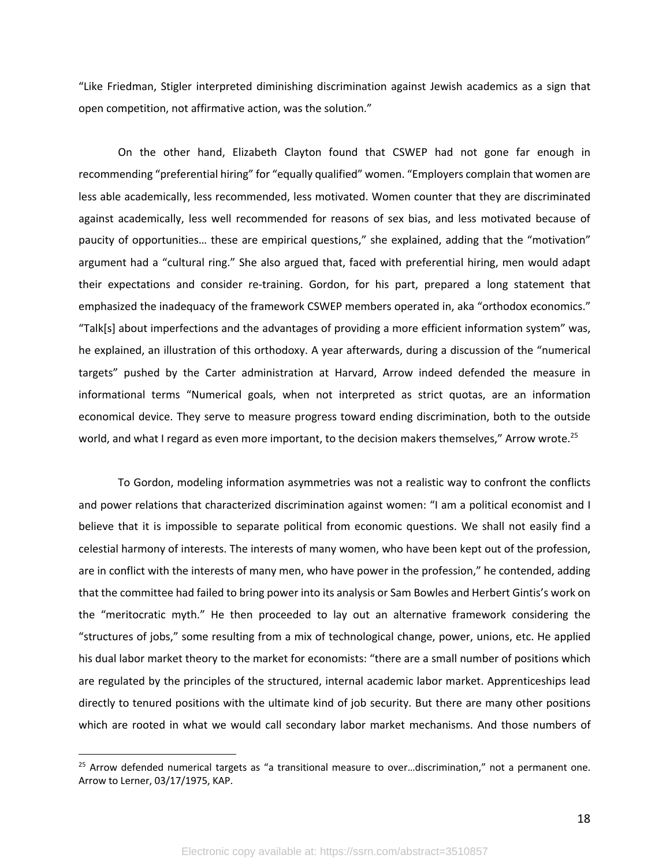"Like Friedman, Stigler interpreted diminishing discrimination against Jewish academics as a sign that open competition, not affirmative action, was the solution."

On the other hand, Elizabeth Clayton found that CSWEP had not gone far enough in recommending "preferential hiring" for "equally qualified" women. "Employers complain that women are less able academically, less recommended, less motivated. Women counter that they are discriminated against academically, less well recommended for reasons of sex bias, and less motivated because of paucity of opportunities… these are empirical questions," she explained, adding that the "motivation" argument had a "cultural ring." She also argued that, faced with preferential hiring, men would adapt their expectations and consider re-training. Gordon, for his part, prepared a long statement that emphasized the inadequacy of the framework CSWEP members operated in, aka "orthodox economics." "Talk[s] about imperfections and the advantages of providing a more efficient information system" was, he explained, an illustration of this orthodoxy. A year afterwards, during a discussion of the "numerical targets" pushed by the Carter administration at Harvard, Arrow indeed defended the measure in informational terms "Numerical goals, when not interpreted as strict quotas, are an information economical device. They serve to measure progress toward ending discrimination, both to the outside world, and what I regard as even more important, to the decision makers themselves," Arrow wrote.<sup>25</sup>

To Gordon, modeling information asymmetries was not a realistic way to confront the conflicts and power relations that characterized discrimination against women: "I am a political economist and I believe that it is impossible to separate political from economic questions. We shall not easily find a celestial harmony of interests. The interests of many women, who have been kept out of the profession, are in conflict with the interests of many men, who have power in the profession," he contended, adding that the committee had failed to bring power into its analysis or Sam Bowles and Herbert Gintis's work on the "meritocratic myth." He then proceeded to lay out an alternative framework considering the "structures of jobs," some resulting from a mix of technological change, power, unions, etc. He applied his dual labor market theory to the market for economists: "there are a small number of positions which are regulated by the principles of the structured, internal academic labor market. Apprenticeships lead directly to tenured positions with the ultimate kind of job security. But there are many other positions which are rooted in what we would call secondary labor market mechanisms. And those numbers of

 $25$  Arrow defended numerical targets as "a transitional measure to over...discrimination," not a permanent one. Arrow to Lerner, 03/17/1975, KAP.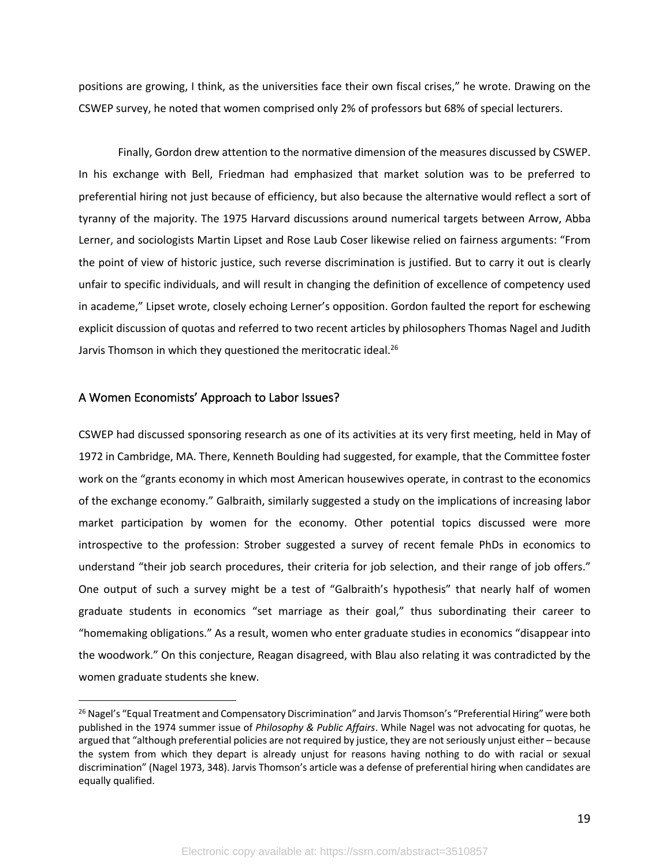positions are growing, I think, as the universities face their own fiscal crises," he wrote. Drawing on the CSWEP survey, he noted that women comprised only 2% of professors but 68% of special lecturers.

Finally, Gordon drew attention to the normative dimension of the measures discussed by CSWEP. In his exchange with Bell, Friedman had emphasized that market solution was to be preferred to preferential hiring not just because of efficiency, but also because the alternative would reflect a sort of tyranny of the majority. The 1975 Harvard discussions around numerical targets between Arrow, Abba Lerner, and sociologists Martin Lipset and Rose Laub Coser likewise relied on fairness arguments: "From the point of view of historic justice, such reverse discrimination is justified. But to carry it out is clearly unfair to specific individuals, and will result in changing the definition of excellence of competency used in academe," Lipset wrote, closely echoing Lerner's opposition. Gordon faulted the report for eschewing explicit discussion of quotas and referred to two recent articles by philosophers Thomas Nagel and Judith Jarvis Thomson in which they questioned the meritocratic ideal.<sup>26</sup>

#### A Women Economists' Approach to Labor Issues?

CSWEP had discussed sponsoring research as one of its activities at its very first meeting, held in May of 1972 in Cambridge, MA. There, Kenneth Boulding had suggested, for example, that the Committee foster work on the "grants economy in which most American housewives operate, in contrast to the economics of the exchange economy." Galbraith, similarly suggested a study on the implications of increasing labor market participation by women for the economy. Other potential topics discussed were more introspective to the profession: Strober suggested a survey of recent female PhDs in economics to understand "their job search procedures, their criteria for job selection, and their range of job offers." One output of such a survey might be a test of "Galbraith's hypothesis" that nearly half of women graduate students in economics "set marriage as their goal," thus subordinating their career to "homemaking obligations." As a result, women who enter graduate studies in economics "disappear into the woodwork." On this conjecture, Reagan disagreed, with Blau also relating it was contradicted by the women graduate students she knew.

<sup>&</sup>lt;sup>26</sup> Nagel's "Equal Treatment and Compensatory Discrimination" and Jarvis Thomson's "Preferential Hiring" were both published in the 1974 summer issue of *Philosophy & Public Affairs*. While Nagel was not advocating for quotas, he argued that "although preferential policies are not required by justice, they are not seriously unjust either – because the system from which they depart is already unjust for reasons having nothing to do with racial or sexual discrimination" (Nagel 1973, 348). Jarvis Thomson's article was a defense of preferential hiring when candidates are equally qualified.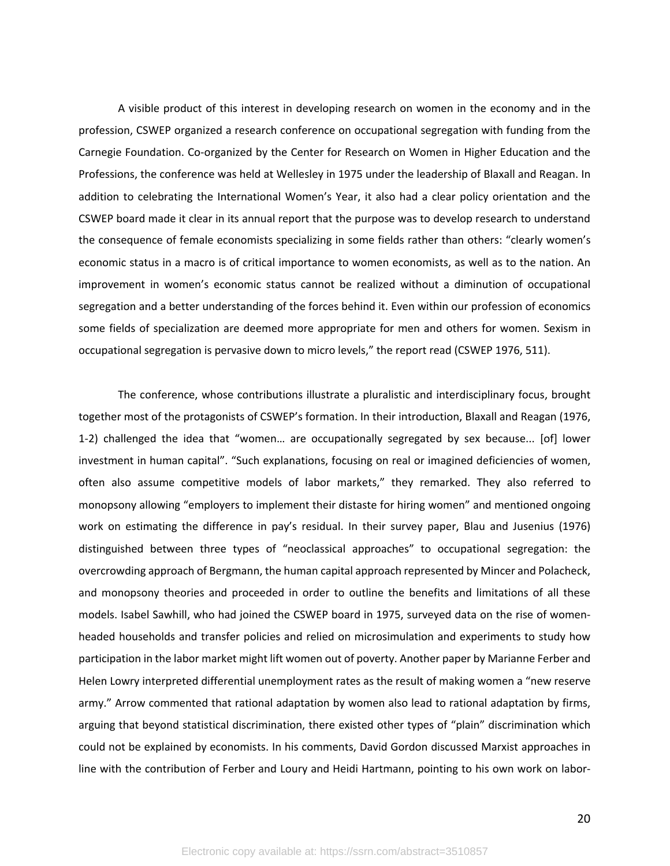A visible product of this interest in developing research on women in the economy and in the profession, CSWEP organized a research conference on occupational segregation with funding from the Carnegie Foundation. Co-organized by the Center for Research on Women in Higher Education and the Professions, the conference was held at Wellesley in 1975 under the leadership of Blaxall and Reagan. In addition to celebrating the International Women's Year, it also had a clear policy orientation and the CSWEP board made it clear in its annual report that the purpose was to develop research to understand the consequence of female economists specializing in some fields rather than others: "clearly women's economic status in a macro is of critical importance to women economists, as well as to the nation. An improvement in women's economic status cannot be realized without a diminution of occupational segregation and a better understanding of the forces behind it. Even within our profession of economics some fields of specialization are deemed more appropriate for men and others for women. Sexism in occupational segregation is pervasive down to micro levels," the report read (CSWEP 1976, 511).

The conference, whose contributions illustrate a pluralistic and interdisciplinary focus, brought together most of the protagonists of CSWEP's formation. In their introduction, Blaxall and Reagan (1976, 1-2) challenged the idea that "women… are occupationally segregated by sex because... [of] lower investment in human capital". "Such explanations, focusing on real or imagined deficiencies of women, often also assume competitive models of labor markets," they remarked. They also referred to monopsony allowing "employers to implement their distaste for hiring women" and mentioned ongoing work on estimating the difference in pay's residual. In their survey paper, Blau and Jusenius (1976) distinguished between three types of "neoclassical approaches" to occupational segregation: the overcrowding approach of Bergmann, the human capital approach represented by Mincer and Polacheck, and monopsony theories and proceeded in order to outline the benefits and limitations of all these models. Isabel Sawhill, who had joined the CSWEP board in 1975, surveyed data on the rise of womenheaded households and transfer policies and relied on microsimulation and experiments to study how participation in the labor market might lift women out of poverty. Another paper by Marianne Ferber and Helen Lowry interpreted differential unemployment rates as the result of making women a "new reserve army." Arrow commented that rational adaptation by women also lead to rational adaptation by firms, arguing that beyond statistical discrimination, there existed other types of "plain" discrimination which could not be explained by economists. In his comments, David Gordon discussed Marxist approaches in line with the contribution of Ferber and Loury and Heidi Hartmann, pointing to his own work on labor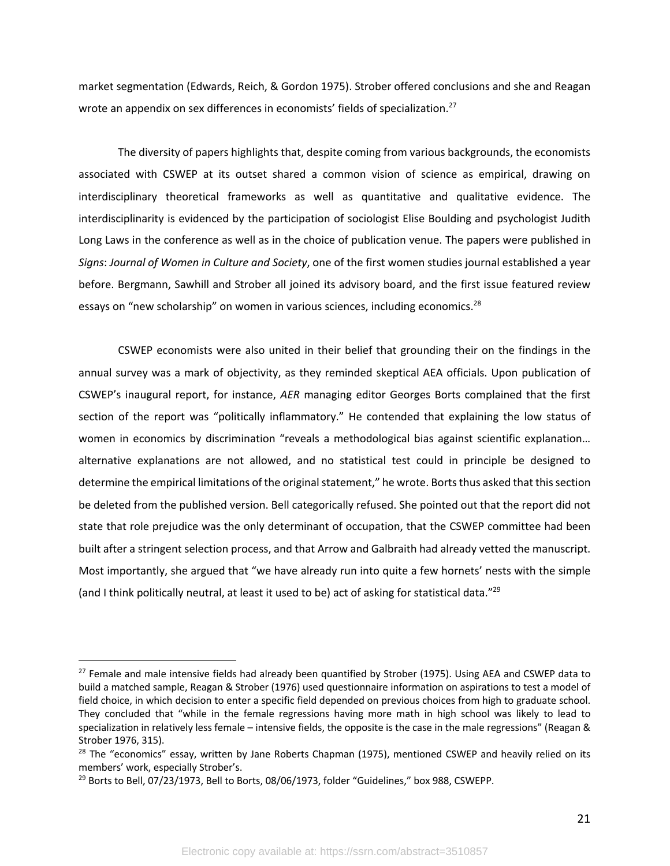market segmentation (Edwards, Reich, & Gordon 1975). Strober offered conclusions and she and Reagan wrote an appendix on sex differences in economists' fields of specialization.<sup>27</sup>

The diversity of papers highlights that, despite coming from various backgrounds, the economists associated with CSWEP at its outset shared a common vision of science as empirical, drawing on interdisciplinary theoretical frameworks as well as quantitative and qualitative evidence. The interdisciplinarity is evidenced by the participation of sociologist Elise Boulding and psychologist Judith Long Laws in the conference as well as in the choice of publication venue. The papers were published in *Signs*: *Journal of Women in Culture and Society*, one of the first women studies journal established a year before. Bergmann, Sawhill and Strober all joined its advisory board, and the first issue featured review essays on "new scholarship" on women in various sciences, including economics.<sup>28</sup>

CSWEP economists were also united in their belief that grounding their on the findings in the annual survey was a mark of objectivity, as they reminded skeptical AEA officials. Upon publication of CSWEP's inaugural report, for instance, *AER* managing editor Georges Borts complained that the first section of the report was "politically inflammatory." He contended that explaining the low status of women in economics by discrimination "reveals a methodological bias against scientific explanation... alternative explanations are not allowed, and no statistical test could in principle be designed to determine the empirical limitations of the original statement," he wrote. Borts thus asked that this section be deleted from the published version. Bell categorically refused. She pointed out that the report did not state that role prejudice was the only determinant of occupation, that the CSWEP committee had been built after a stringent selection process, and that Arrow and Galbraith had already vetted the manuscript. Most importantly, she argued that "we have already run into quite a few hornets' nests with the simple (and I think politically neutral, at least it used to be) act of asking for statistical data."29

<sup>&</sup>lt;sup>27</sup> Female and male intensive fields had already been quantified by Strober (1975). Using AEA and CSWEP data to build a matched sample, Reagan & Strober (1976) used questionnaire information on aspirations to test a model of field choice, in which decision to enter a specific field depended on previous choices from high to graduate school. They concluded that "while in the female regressions having more math in high school was likely to lead to specialization in relatively less female – intensive fields, the opposite is the case in the male regressions" (Reagan & Strober 1976, 315).

<sup>&</sup>lt;sup>28</sup> The "economics" essay, written by Jane Roberts Chapman (1975), mentioned CSWEP and heavily relied on its members' work, especially Strober's.

 $^{29}$  Borts to Bell, 07/23/1973, Bell to Borts, 08/06/1973, folder "Guidelines," box 988, CSWEPP.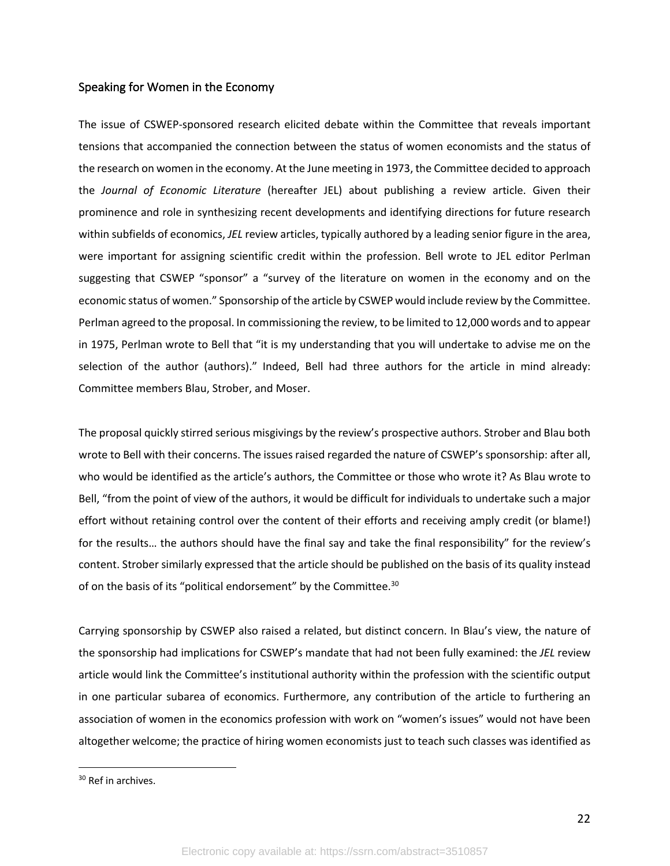#### Speaking for Women in the Economy

The issue of CSWEP-sponsored research elicited debate within the Committee that reveals important tensions that accompanied the connection between the status of women economists and the status of the research on women in the economy. At the June meeting in 1973, the Committee decided to approach the *Journal of Economic Literature* (hereafter JEL) about publishing a review article. Given their prominence and role in synthesizing recent developments and identifying directions for future research within subfields of economics, *JEL* review articles, typically authored by a leading senior figure in the area, were important for assigning scientific credit within the profession. Bell wrote to JEL editor Perlman suggesting that CSWEP "sponsor" a "survey of the literature on women in the economy and on the economic status of women." Sponsorship of the article by CSWEP would include review by the Committee. Perlman agreed to the proposal. In commissioning the review, to be limited to 12,000 words and to appear in 1975, Perlman wrote to Bell that "it is my understanding that you will undertake to advise me on the selection of the author (authors)." Indeed, Bell had three authors for the article in mind already: Committee members Blau, Strober, and Moser.

The proposal quickly stirred serious misgivings by the review's prospective authors. Strober and Blau both wrote to Bell with their concerns. The issues raised regarded the nature of CSWEP's sponsorship: after all, who would be identified as the article's authors, the Committee or those who wrote it? As Blau wrote to Bell, "from the point of view of the authors, it would be difficult for individuals to undertake such a major effort without retaining control over the content of their efforts and receiving amply credit (or blame!) for the results… the authors should have the final say and take the final responsibility" for the review's content. Strober similarly expressed that the article should be published on the basis of its quality instead of on the basis of its "political endorsement" by the Committee.<sup>30</sup>

Carrying sponsorship by CSWEP also raised a related, but distinct concern. In Blau's view, the nature of the sponsorship had implications for CSWEP's mandate that had not been fully examined: the *JEL* review article would link the Committee's institutional authority within the profession with the scientific output in one particular subarea of economics. Furthermore, any contribution of the article to furthering an association of women in the economics profession with work on "women's issues" would not have been altogether welcome; the practice of hiring women economists just to teach such classes was identified as

<sup>&</sup>lt;sup>30</sup> Ref in archives.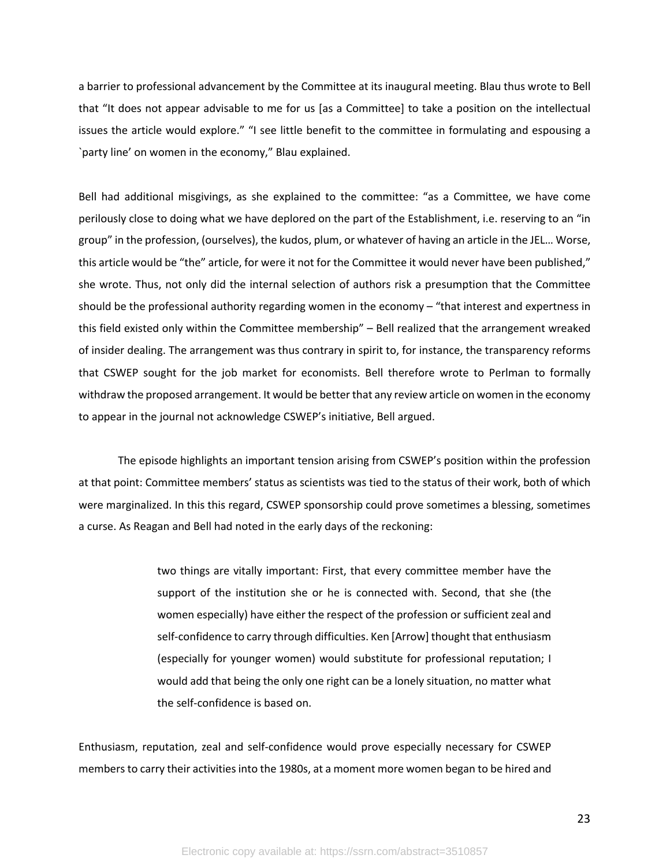a barrier to professional advancement by the Committee at its inaugural meeting. Blau thus wrote to Bell that "It does not appear advisable to me for us [as a Committee] to take a position on the intellectual issues the article would explore." "I see little benefit to the committee in formulating and espousing a `party line' on women in the economy," Blau explained.

Bell had additional misgivings, as she explained to the committee: "as a Committee, we have come perilously close to doing what we have deplored on the part of the Establishment, i.e. reserving to an "in group" in the profession, (ourselves), the kudos, plum, or whatever of having an article in the JEL… Worse, this article would be "the" article, for were it not for the Committee it would never have been published," she wrote. Thus, not only did the internal selection of authors risk a presumption that the Committee should be the professional authority regarding women in the economy – "that interest and expertness in this field existed only within the Committee membership" – Bell realized that the arrangement wreaked of insider dealing. The arrangement was thus contrary in spirit to, for instance, the transparency reforms that CSWEP sought for the job market for economists. Bell therefore wrote to Perlman to formally withdraw the proposed arrangement. It would be better that any review article on women in the economy to appear in the journal not acknowledge CSWEP's initiative, Bell argued.

The episode highlights an important tension arising from CSWEP's position within the profession at that point: Committee members' status as scientists was tied to the status of their work, both of which were marginalized. In this this regard, CSWEP sponsorship could prove sometimes a blessing, sometimes a curse. As Reagan and Bell had noted in the early days of the reckoning:

> two things are vitally important: First, that every committee member have the support of the institution she or he is connected with. Second, that she (the women especially) have either the respect of the profession or sufficient zeal and self-confidence to carry through difficulties. Ken [Arrow] thought that enthusiasm (especially for younger women) would substitute for professional reputation; I would add that being the only one right can be a lonely situation, no matter what the self-confidence is based on.

Enthusiasm, reputation, zeal and self-confidence would prove especially necessary for CSWEP members to carry their activities into the 1980s, at a moment more women began to be hired and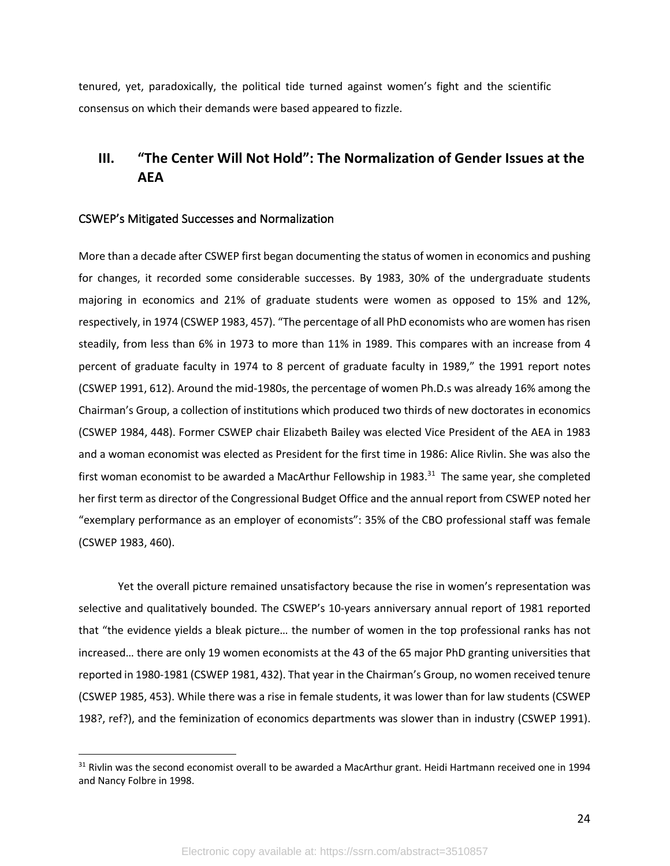tenured, yet, paradoxically, the political tide turned against women's fight and the scientific consensus on which their demands were based appeared to fizzle.

# **III. "The Center Will Not Hold": The Normalization of Gender Issues at the AEA**

#### CSWEP's Mitigated Successes and Normalization

More than a decade after CSWEP first began documenting the status of women in economics and pushing for changes, it recorded some considerable successes. By 1983, 30% of the undergraduate students majoring in economics and 21% of graduate students were women as opposed to 15% and 12%, respectively, in 1974 (CSWEP 1983, 457). "The percentage of all PhD economists who are women has risen steadily, from less than 6% in 1973 to more than 11% in 1989. This compares with an increase from 4 percent of graduate faculty in 1974 to 8 percent of graduate faculty in 1989," the 1991 report notes (CSWEP 1991, 612). Around the mid-1980s, the percentage of women Ph.D.s was already 16% among the Chairman's Group, a collection of institutions which produced two thirds of new doctorates in economics (CSWEP 1984, 448). Former CSWEP chair Elizabeth Bailey was elected Vice President of the AEA in 1983 and a woman economist was elected as President for the first time in 1986: Alice Rivlin. She was also the first woman economist to be awarded a MacArthur Fellowship in 1983.<sup>31</sup> The same year, she completed her first term as director of the Congressional Budget Office and the annual report from CSWEP noted her "exemplary performance as an employer of economists": 35% of the CBO professional staff was female (CSWEP 1983, 460).

Yet the overall picture remained unsatisfactory because the rise in women's representation was selective and qualitatively bounded. The CSWEP's 10-years anniversary annual report of 1981 reported that "the evidence yields a bleak picture… the number of women in the top professional ranks has not increased… there are only 19 women economists at the 43 of the 65 major PhD granting universities that reported in 1980-1981 (CSWEP 1981, 432). That year in the Chairman's Group, no women received tenure (CSWEP 1985, 453). While there was a rise in female students, it was lower than for law students (CSWEP 198?, ref?), and the feminization of economics departments was slower than in industry (CSWEP 1991).

<sup>&</sup>lt;sup>31</sup> Rivlin was the second economist overall to be awarded a MacArthur grant. Heidi Hartmann received one in 1994 and Nancy Folbre in 1998.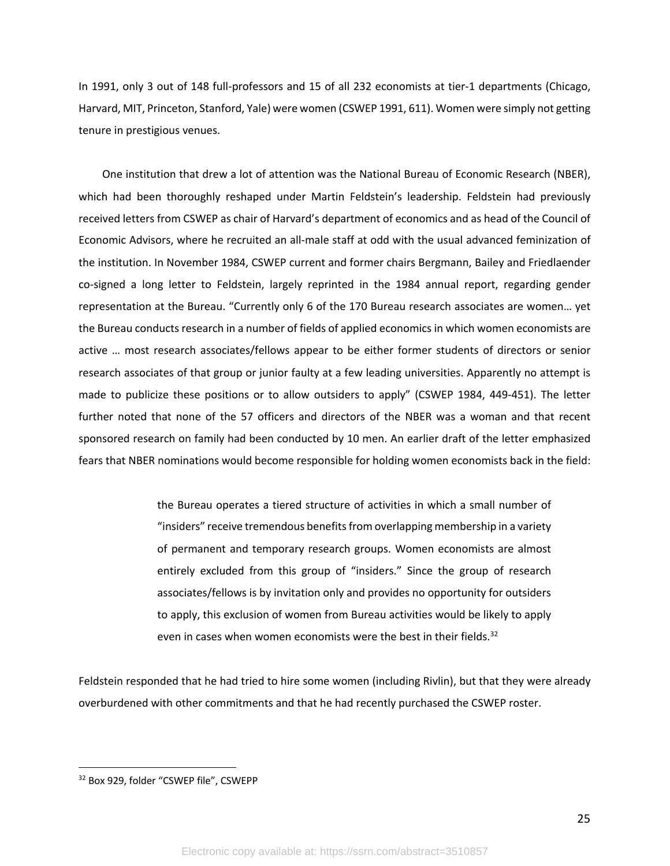In 1991, only 3 out of 148 full-professors and 15 of all 232 economists at tier-1 departments (Chicago, Harvard, MIT, Princeton, Stanford, Yale) were women (CSWEP 1991, 611). Women were simply not getting tenure in prestigious venues.

One institution that drew a lot of attention was the National Bureau of Economic Research (NBER), which had been thoroughly reshaped under Martin Feldstein's leadership. Feldstein had previously received letters from CSWEP as chair of Harvard's department of economics and as head of the Council of Economic Advisors, where he recruited an all-male staff at odd with the usual advanced feminization of the institution. In November 1984, CSWEP current and former chairs Bergmann, Bailey and Friedlaender co-signed a long letter to Feldstein, largely reprinted in the 1984 annual report, regarding gender representation at the Bureau. "Currently only 6 of the 170 Bureau research associates are women… yet the Bureau conducts research in a number of fields of applied economics in which women economists are active … most research associates/fellows appear to be either former students of directors or senior research associates of that group or junior faulty at a few leading universities. Apparently no attempt is made to publicize these positions or to allow outsiders to apply" (CSWEP 1984, 449-451). The letter further noted that none of the 57 officers and directors of the NBER was a woman and that recent sponsored research on family had been conducted by 10 men. An earlier draft of the letter emphasized fears that NBER nominations would become responsible for holding women economists back in the field:

> the Bureau operates a tiered structure of activities in which a small number of "insiders" receive tremendous benefits from overlapping membership in a variety of permanent and temporary research groups. Women economists are almost entirely excluded from this group of "insiders." Since the group of research associates/fellows is by invitation only and provides no opportunity for outsiders to apply, this exclusion of women from Bureau activities would be likely to apply even in cases when women economists were the best in their fields.<sup>32</sup>

Feldstein responded that he had tried to hire some women (including Rivlin), but that they were already overburdened with other commitments and that he had recently purchased the CSWEP roster.

25

<sup>32</sup> Box 929, folder "CSWEP file", CSWEPP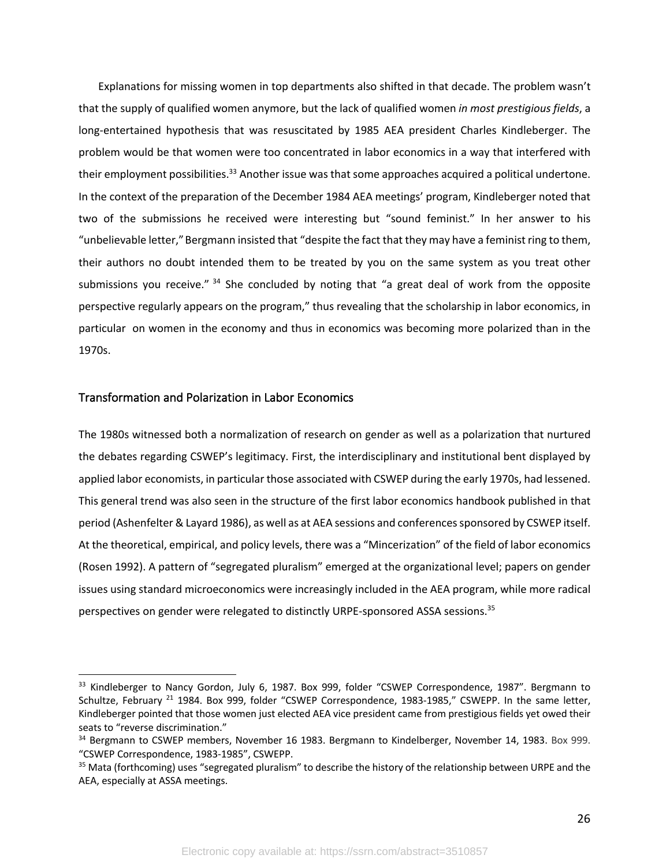Explanations for missing women in top departments also shifted in that decade. The problem wasn't that the supply of qualified women anymore, but the lack of qualified women *in most prestigious fields*, a long-entertained hypothesis that was resuscitated by 1985 AEA president Charles Kindleberger. The problem would be that women were too concentrated in labor economics in a way that interfered with their employment possibilities.<sup>33</sup> Another issue was that some approaches acquired a political undertone. In the context of the preparation of the December 1984 AEA meetings' program, Kindleberger noted that two of the submissions he received were interesting but "sound feminist." In her answer to his "unbelievable letter," Bergmann insisted that "despite the fact that they may have a feminist ring to them, their authors no doubt intended them to be treated by you on the same system as you treat other submissions you receive."  $34$  She concluded by noting that "a great deal of work from the opposite perspective regularly appears on the program," thus revealing that the scholarship in labor economics, in particular on women in the economy and thus in economics was becoming more polarized than in the 1970s.

### Transformation and Polarization in Labor Economics

The 1980s witnessed both a normalization of research on gender as well as a polarization that nurtured the debates regarding CSWEP's legitimacy. First, the interdisciplinary and institutional bent displayed by applied labor economists, in particular those associated with CSWEP during the early 1970s, had lessened. This general trend was also seen in the structure of the first labor economics handbook published in that period (Ashenfelter & Layard 1986), as well as at AEA sessions and conferences sponsored by CSWEP itself. At the theoretical, empirical, and policy levels, there was a "Mincerization" of the field of labor economics (Rosen 1992). A pattern of "segregated pluralism" emerged at the organizational level; papers on gender issues using standard microeconomics were increasingly included in the AEA program, while more radical perspectives on gender were relegated to distinctly URPE-sponsored ASSA sessions.<sup>35</sup>

<sup>&</sup>lt;sup>33</sup> Kindleberger to Nancy Gordon, July 6, 1987. Box 999, folder "CSWEP Correspondence, 1987". Bergmann to Schultze, February<sup>21</sup> 1984. Box 999, folder "CSWEP Correspondence, 1983-1985," CSWEPP. In the same letter, Kindleberger pointed that those women just elected AEA vice president came from prestigious fields yet owed their seats to "reverse discrimination."

<sup>&</sup>lt;sup>34</sup> Bergmann to CSWEP members, November 16 1983. Bergmann to Kindelberger, November 14, 1983. Box 999. "CSWEP Correspondence, 1983-1985", CSWEPP.

<sup>&</sup>lt;sup>35</sup> Mata (forthcoming) uses "segregated pluralism" to describe the history of the relationship between URPE and the AEA, especially at ASSA meetings.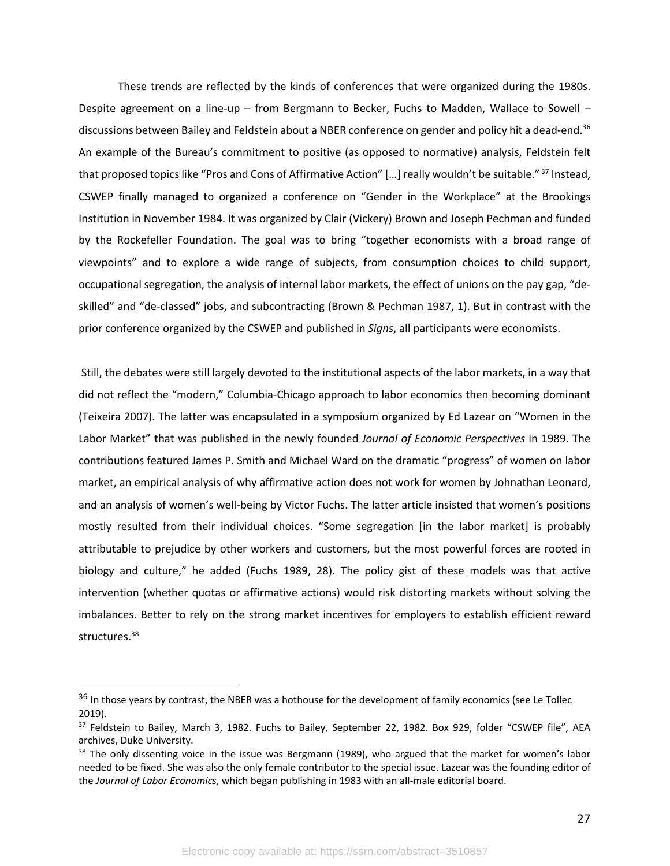These trends are reflected by the kinds of conferences that were organized during the 1980s. Despite agreement on a line-up – from Bergmann to Becker, Fuchs to Madden, Wallace to Sowell – discussions between Bailey and Feldstein about a NBER conference on gender and policy hit a dead-end.<sup>36</sup> An example of the Bureau's commitment to positive (as opposed to normative) analysis, Feldstein felt that proposed topics like "Pros and Cons of Affirmative Action" [...] really wouldn't be suitable."<sup>37</sup> Instead, CSWEP finally managed to organized a conference on "Gender in the Workplace" at the Brookings Institution in November 1984. It was organized by Clair (Vickery) Brown and Joseph Pechman and funded by the Rockefeller Foundation. The goal was to bring "together economists with a broad range of viewpoints" and to explore a wide range of subjects, from consumption choices to child support, occupational segregation, the analysis of internal labor markets, the effect of unions on the pay gap, "deskilled" and "de-classed" jobs, and subcontracting (Brown & Pechman 1987, 1). But in contrast with the prior conference organized by the CSWEP and published in *Signs*, all participants were economists.

Still, the debates were still largely devoted to the institutional aspects of the labor markets, in a way that did not reflect the "modern," Columbia-Chicago approach to labor economics then becoming dominant (Teixeira 2007). The latter was encapsulated in a symposium organized by Ed Lazear on "Women in the Labor Market" that was published in the newly founded *Journal of Economic Perspectives* in 1989. The contributions featured James P. Smith and Michael Ward on the dramatic "progress" of women on labor market, an empirical analysis of why affirmative action does not work for women by Johnathan Leonard, and an analysis of women's well-being by Victor Fuchs. The latter article insisted that women's positions mostly resulted from their individual choices. "Some segregation [in the labor market] is probably attributable to prejudice by other workers and customers, but the most powerful forces are rooted in biology and culture," he added (Fuchs 1989, 28). The policy gist of these models was that active intervention (whether quotas or affirmative actions) would risk distorting markets without solving the imbalances. Better to rely on the strong market incentives for employers to establish efficient reward structures.<sup>38</sup>

<sup>&</sup>lt;sup>36</sup> In those years by contrast, the NBER was a hothouse for the development of family economics (see Le Tollec 2019).

<sup>37</sup> Feldstein to Bailey, March 3, 1982. Fuchs to Bailey, September 22, 1982. Box 929, folder "CSWEP file", AEA archives, Duke University.

<sup>&</sup>lt;sup>38</sup> The only dissenting voice in the issue was Bergmann (1989), who argued that the market for women's labor needed to be fixed. She was also the only female contributor to the special issue. Lazear was the founding editor of the *Journal of Labor Economics*, which began publishing in 1983 with an all-male editorial board.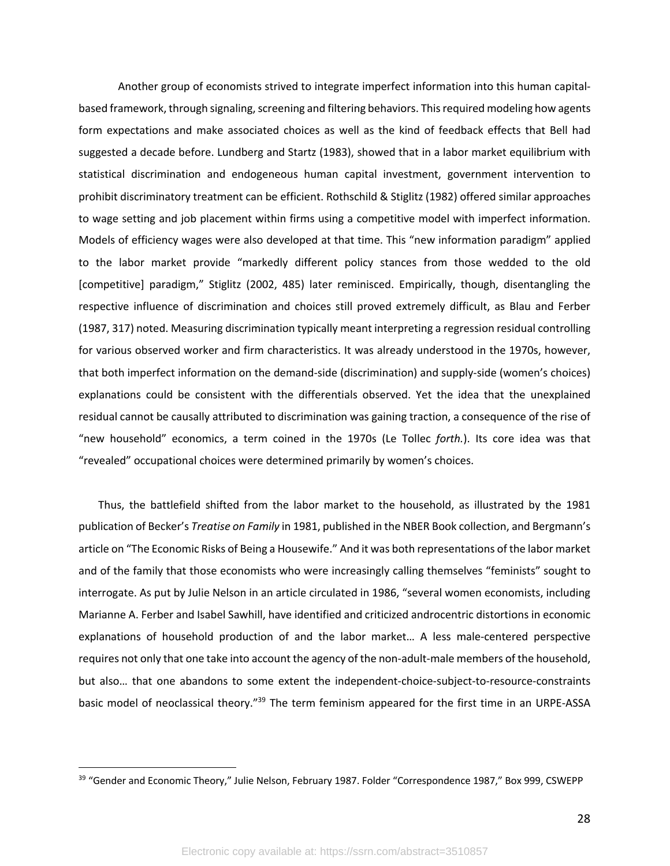Another group of economists strived to integrate imperfect information into this human capitalbased framework, through signaling, screening and filtering behaviors. This required modeling how agents form expectations and make associated choices as well as the kind of feedback effects that Bell had suggested a decade before. Lundberg and Startz (1983), showed that in a labor market equilibrium with statistical discrimination and endogeneous human capital investment, government intervention to prohibit discriminatory treatment can be efficient. Rothschild & Stiglitz (1982) offered similar approaches to wage setting and job placement within firms using a competitive model with imperfect information. Models of efficiency wages were also developed at that time. This "new information paradigm" applied to the labor market provide "markedly different policy stances from those wedded to the old [competitive] paradigm," Stiglitz (2002, 485) later reminisced. Empirically, though, disentangling the respective influence of discrimination and choices still proved extremely difficult, as Blau and Ferber (1987, 317) noted. Measuring discrimination typically meant interpreting a regression residual controlling for various observed worker and firm characteristics. It was already understood in the 1970s, however, that both imperfect information on the demand-side (discrimination) and supply-side (women's choices) explanations could be consistent with the differentials observed. Yet the idea that the unexplained residual cannot be causally attributed to discrimination was gaining traction, a consequence of the rise of "new household" economics, a term coined in the 1970s (Le Tollec *forth.*). Its core idea was that "revealed" occupational choices were determined primarily by women's choices.

Thus, the battlefield shifted from the labor market to the household, as illustrated by the 1981 publication of Becker's *Treatise on Family* in 1981, published in the NBER Book collection, and Bergmann's article on "The Economic Risks of Being a Housewife." And it was both representations of the labor market and of the family that those economists who were increasingly calling themselves "feminists" sought to interrogate. As put by Julie Nelson in an article circulated in 1986, "several women economists, including Marianne A. Ferber and Isabel Sawhill, have identified and criticized androcentric distortions in economic explanations of household production of and the labor market… A less male-centered perspective requires not only that one take into account the agency of the non-adult-male members of the household, but also… that one abandons to some extent the independent-choice-subject-to-resource-constraints basic model of neoclassical theory."<sup>39</sup> The term feminism appeared for the first time in an URPE-ASSA

<sup>&</sup>lt;sup>39</sup> "Gender and Economic Theory," Julie Nelson, February 1987. Folder "Correspondence 1987," Box 999, CSWEPP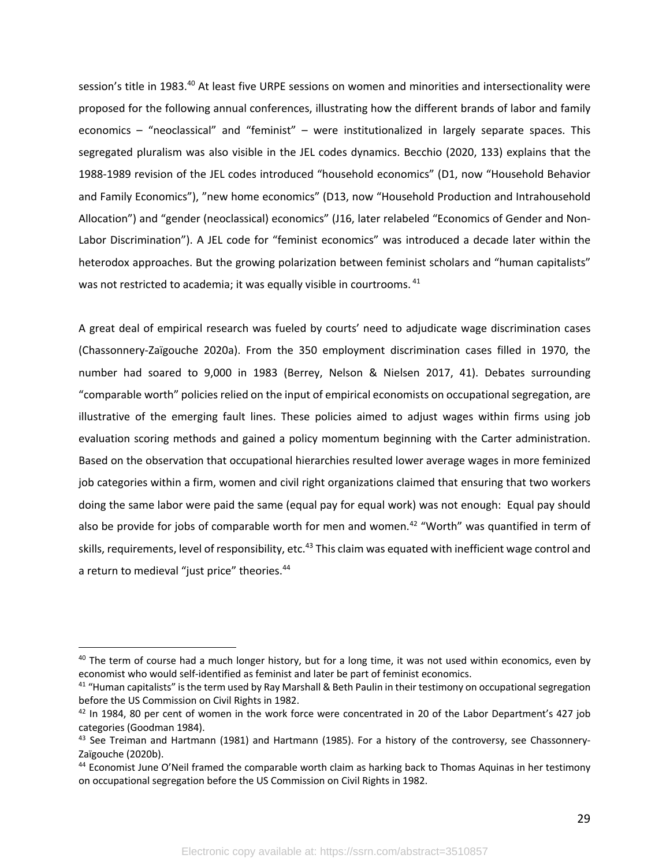session's title in 1983.<sup>40</sup> At least five URPE sessions on women and minorities and intersectionality were proposed for the following annual conferences, illustrating how the different brands of labor and family economics – "neoclassical" and "feminist" – were institutionalized in largely separate spaces. This segregated pluralism was also visible in the JEL codes dynamics. Becchio (2020, 133) explains that the 1988-1989 revision of the JEL codes introduced "household economics" (D1, now "Household Behavior and Family Economics"), "new home economics" (D13, now "Household Production and Intrahousehold Allocation") and "gender (neoclassical) economics" (J16, later relabeled "Economics of Gender and Non-Labor Discrimination"). A JEL code for "feminist economics" was introduced a decade later within the heterodox approaches. But the growing polarization between feminist scholars and "human capitalists" was not restricted to academia; it was equally visible in courtrooms. <sup>41</sup>

A great deal of empirical research was fueled by courts' need to adjudicate wage discrimination cases (Chassonnery-Zaïgouche 2020a). From the 350 employment discrimination cases filled in 1970, the number had soared to 9,000 in 1983 (Berrey, Nelson & Nielsen 2017, 41). Debates surrounding "comparable worth" policies relied on the input of empirical economists on occupational segregation, are illustrative of the emerging fault lines. These policies aimed to adjust wages within firms using job evaluation scoring methods and gained a policy momentum beginning with the Carter administration. Based on the observation that occupational hierarchies resulted lower average wages in more feminized job categories within a firm, women and civil right organizations claimed that ensuring that two workers doing the same labor were paid the same (equal pay for equal work) was not enough: Equal pay should also be provide for jobs of comparable worth for men and women.<sup>42</sup> "Worth" was quantified in term of skills, requirements, level of responsibility, etc.<sup>43</sup> This claim was equated with inefficient wage control and a return to medieval "just price" theories.<sup>44</sup>

 $40$  The term of course had a much longer history, but for a long time, it was not used within economics, even by economist who would self-identified as feminist and later be part of feminist economics.<br><sup>41</sup> "Human capitalists" is the term used by Ray Marshall & Beth Paulin in their testimony on occupational segregation

before the US Commission on Civil Rights in 1982.

 $42$  In 1984, 80 per cent of women in the work force were concentrated in 20 of the Labor Department's 427 job categories (Goodman 1984).<br><sup>43</sup> See Treiman and Hartmann (1981) and Hartmann (1985). For a history of the controversy, see Chassonnery-

Zaïgouche (2020b).

<sup>44</sup> Economist June O'Neil framed the comparable worth claim as harking back to Thomas Aquinas in her testimony on occupational segregation before the US Commission on Civil Rights in 1982.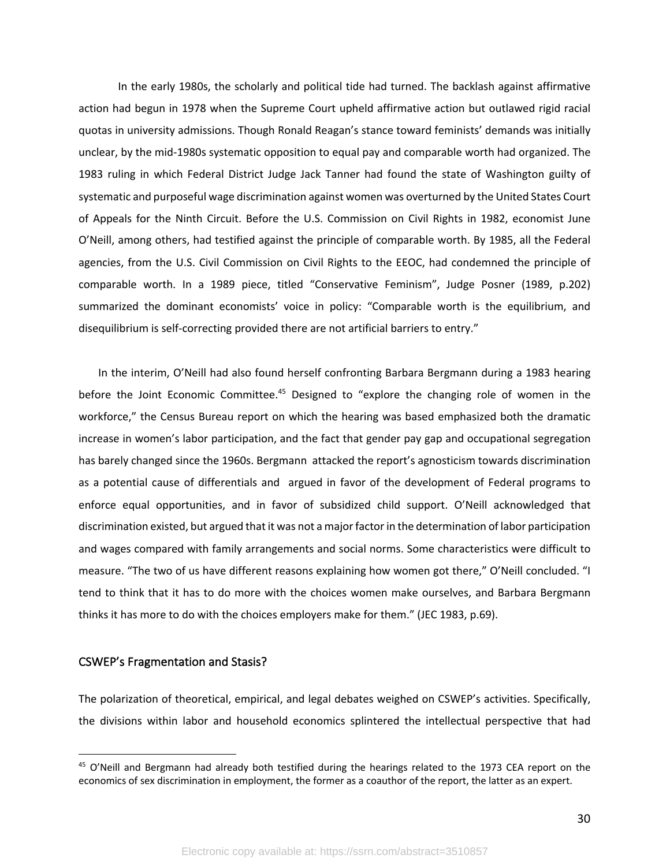In the early 1980s, the scholarly and political tide had turned. The backlash against affirmative action had begun in 1978 when the Supreme Court upheld affirmative action but outlawed rigid racial quotas in university admissions. Though Ronald Reagan's stance toward feminists' demands was initially unclear, by the mid-1980s systematic opposition to equal pay and comparable worth had organized. The 1983 ruling in which Federal District Judge Jack Tanner had found the state of Washington guilty of systematic and purposeful wage discrimination against women was overturned by the United States Court of Appeals for the Ninth Circuit. Before the U.S. Commission on Civil Rights in 1982, economist June O'Neill, among others, had testified against the principle of comparable worth. By 1985, all the Federal agencies, from the U.S. Civil Commission on Civil Rights to the EEOC, had condemned the principle of comparable worth. In a 1989 piece, titled "Conservative Feminism", Judge Posner (1989, p.202) summarized the dominant economists' voice in policy: "Comparable worth is the equilibrium, and disequilibrium is self-correcting provided there are not artificial barriers to entry."

In the interim, O'Neill had also found herself confronting Barbara Bergmann during a 1983 hearing before the Joint Economic Committee.<sup>45</sup> Designed to "explore the changing role of women in the workforce," the Census Bureau report on which the hearing was based emphasized both the dramatic increase in women's labor participation, and the fact that gender pay gap and occupational segregation has barely changed since the 1960s. Bergmann attacked the report's agnosticism towards discrimination as a potential cause of differentials and argued in favor of the development of Federal programs to enforce equal opportunities, and in favor of subsidized child support. O'Neill acknowledged that discrimination existed, but argued that it was not a major factor in the determination of labor participation and wages compared with family arrangements and social norms. Some characteristics were difficult to measure. "The two of us have different reasons explaining how women got there," O'Neill concluded. "I tend to think that it has to do more with the choices women make ourselves, and Barbara Bergmann thinks it has more to do with the choices employers make for them." (JEC 1983, p.69).

#### CSWEP's Fragmentation and Stasis?

The polarization of theoretical, empirical, and legal debates weighed on CSWEP's activities. Specifically, the divisions within labor and household economics splintered the intellectual perspective that had

<sup>&</sup>lt;sup>45</sup> O'Neill and Bergmann had already both testified during the hearings related to the 1973 CEA report on the economics of sex discrimination in employment, the former as a coauthor of the report, the latter as an expert.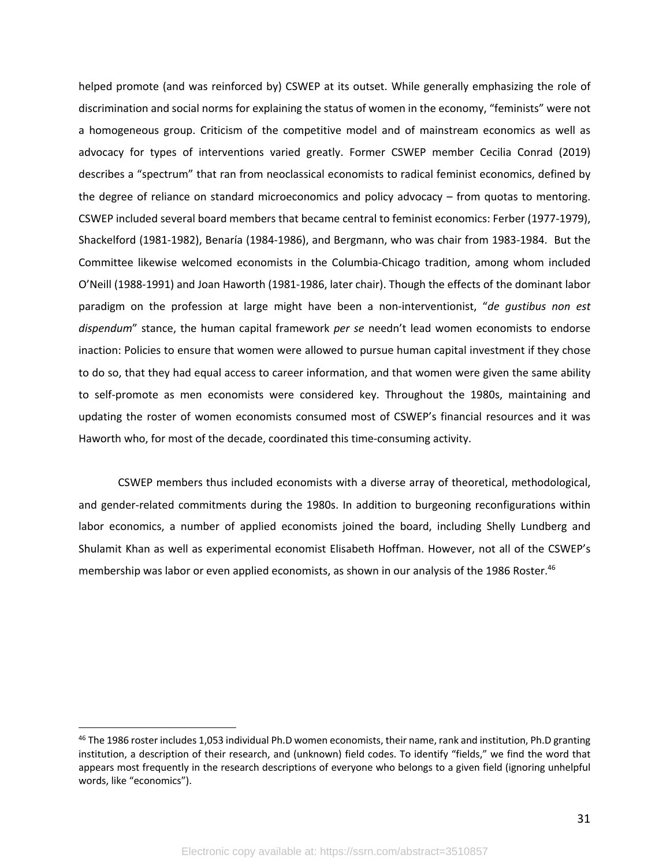helped promote (and was reinforced by) CSWEP at its outset. While generally emphasizing the role of discrimination and social norms for explaining the status of women in the economy, "feminists" were not a homogeneous group. Criticism of the competitive model and of mainstream economics as well as advocacy for types of interventions varied greatly. Former CSWEP member Cecilia Conrad (2019) describes a "spectrum" that ran from neoclassical economists to radical feminist economics, defined by the degree of reliance on standard microeconomics and policy advocacy – from quotas to mentoring. CSWEP included several board members that became central to feminist economics: Ferber (1977-1979), Shackelford (1981-1982), Benaría (1984-1986), and Bergmann, who was chair from 1983-1984. But the Committee likewise welcomed economists in the Columbia-Chicago tradition, among whom included O'Neill (1988-1991) and Joan Haworth (1981-1986, later chair). Though the effects of the dominant labor paradigm on the profession at large might have been a non-interventionist, "*de gustibus non est dispendum*" stance, the human capital framework *per se* needn't lead women economists to endorse inaction: Policies to ensure that women were allowed to pursue human capital investment if they chose to do so, that they had equal access to career information, and that women were given the same ability to self-promote as men economists were considered key. Throughout the 1980s, maintaining and updating the roster of women economists consumed most of CSWEP's financial resources and it was Haworth who, for most of the decade, coordinated this time-consuming activity.

CSWEP members thus included economists with a diverse array of theoretical, methodological, and gender-related commitments during the 1980s. In addition to burgeoning reconfigurations within labor economics, a number of applied economists joined the board, including Shelly Lundberg and Shulamit Khan as well as experimental economist Elisabeth Hoffman. However, not all of the CSWEP's membership was labor or even applied economists, as shown in our analysis of the 1986 Roster.<sup>46</sup>

 $46$  The 1986 roster includes 1,053 individual Ph.D women economists, their name, rank and institution, Ph.D granting institution, a description of their research, and (unknown) field codes. To identify "fields," we find the word that appears most frequently in the research descriptions of everyone who belongs to a given field (ignoring unhelpful words, like "economics").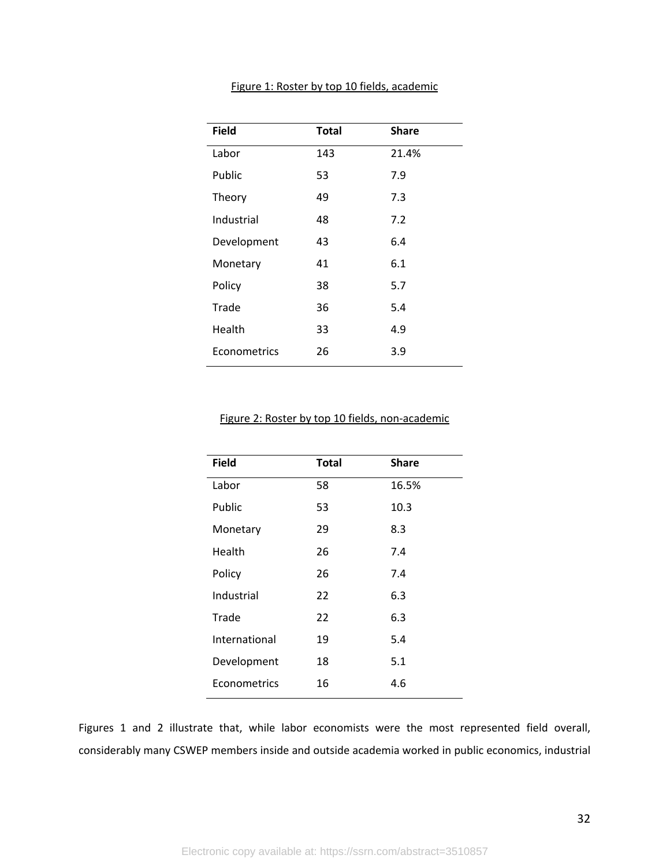| <b>Field</b> | <b>Total</b> | <b>Share</b> |
|--------------|--------------|--------------|
| Labor        | 143          | 21.4%        |
| Public       | 53           | 7.9          |
| Theory       | 49           | 7.3          |
| Industrial   | 48           | 7.2          |
| Development  | 43           | 6.4          |
| Monetary     | 41           | 6.1          |
| Policy       | 38           | 5.7          |
| Trade        | 36           | 5.4          |
| Health       | 33           | 4.9          |
| Econometrics | 26           | 3.9          |

#### Figure 1: Roster by top 10 fields, academic

#### Figure 2: Roster by top 10 fields, non-academic

| <b>Field</b>  | <b>Total</b> | <b>Share</b> |  |
|---------------|--------------|--------------|--|
| Labor         | 58           | 16.5%        |  |
| Public        | 53           | 10.3         |  |
| Monetary      | 29           | 8.3          |  |
| Health        | 26           | 7.4          |  |
| Policy        | 26           | 7.4          |  |
| Industrial    | 22           | 6.3          |  |
| Trade         | 22           | 6.3          |  |
| International | 19           | 5.4          |  |
| Development   | 18           | 5.1          |  |
| Econometrics  | 16           | 4.6          |  |
|               |              |              |  |

Figures 1 and 2 illustrate that, while labor economists were the most represented field overall, considerably many CSWEP members inside and outside academia worked in public economics, industrial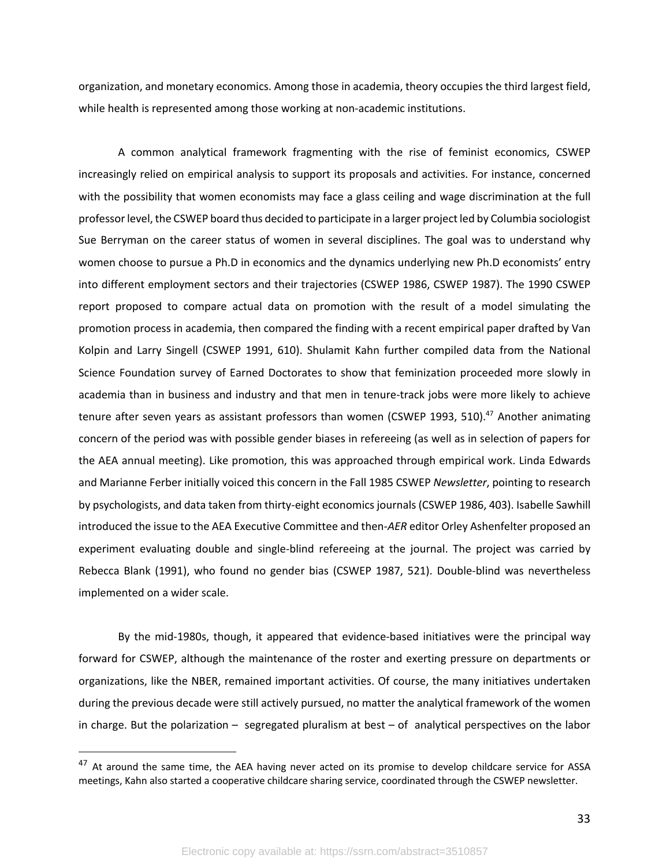organization, and monetary economics. Among those in academia, theory occupies the third largest field, while health is represented among those working at non-academic institutions.

A common analytical framework fragmenting with the rise of feminist economics, CSWEP increasingly relied on empirical analysis to support its proposals and activities. For instance, concerned with the possibility that women economists may face a glass ceiling and wage discrimination at the full professor level, the CSWEP board thus decided to participate in a larger project led by Columbia sociologist Sue Berryman on the career status of women in several disciplines. The goal was to understand why women choose to pursue a Ph.D in economics and the dynamics underlying new Ph.D economists' entry into different employment sectors and their trajectories (CSWEP 1986, CSWEP 1987). The 1990 CSWEP report proposed to compare actual data on promotion with the result of a model simulating the promotion process in academia, then compared the finding with a recent empirical paper drafted by Van Kolpin and Larry Singell (CSWEP 1991, 610). Shulamit Kahn further compiled data from the National Science Foundation survey of Earned Doctorates to show that feminization proceeded more slowly in academia than in business and industry and that men in tenure-track jobs were more likely to achieve tenure after seven years as assistant professors than women (CSWEP 1993, 510). $47$  Another animating concern of the period was with possible gender biases in refereeing (as well as in selection of papers for the AEA annual meeting). Like promotion, this was approached through empirical work. Linda Edwards and Marianne Ferber initially voiced this concern in the Fall 1985 CSWEP *Newsletter*, pointing to research by psychologists, and data taken from thirty-eight economics journals (CSWEP 1986, 403). Isabelle Sawhill introduced the issue to the AEA Executive Committee and then-*AER* editor Orley Ashenfelter proposed an experiment evaluating double and single-blind refereeing at the journal. The project was carried by Rebecca Blank (1991), who found no gender bias (CSWEP 1987, 521). Double-blind was nevertheless implemented on a wider scale.

By the mid-1980s, though, it appeared that evidence-based initiatives were the principal way forward for CSWEP, although the maintenance of the roster and exerting pressure on departments or organizations, like the NBER, remained important activities. Of course, the many initiatives undertaken during the previous decade were still actively pursued, no matter the analytical framework of the women in charge. But the polarization – segregated pluralism at best – of analytical perspectives on the labor

<sup>&</sup>lt;sup>47</sup> At around the same time, the AEA having never acted on its promise to develop childcare service for ASSA meetings, Kahn also started a cooperative childcare sharing service, coordinated through the CSWEP newsletter.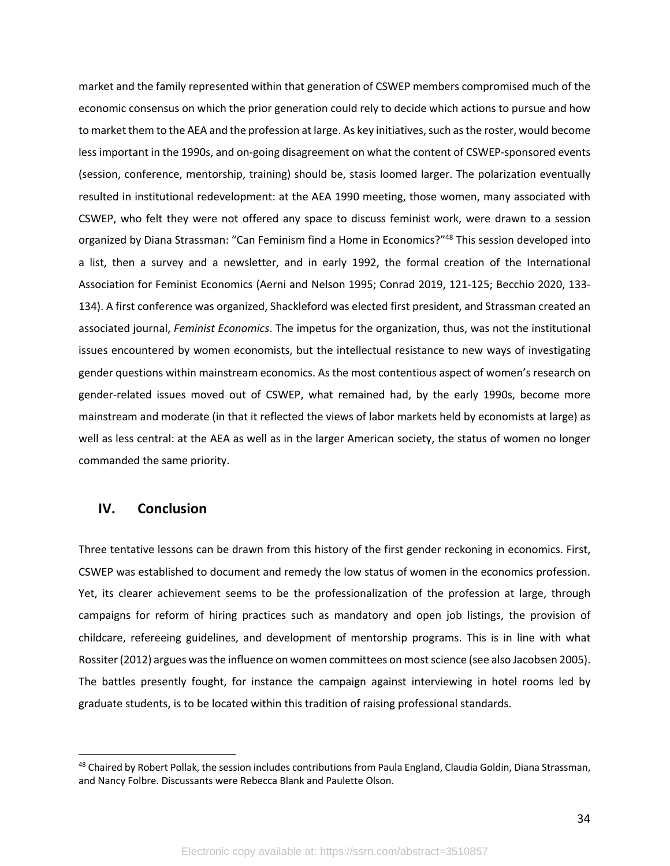market and the family represented within that generation of CSWEP members compromised much of the economic consensus on which the prior generation could rely to decide which actions to pursue and how to market them to the AEA and the profession at large. As key initiatives, such as the roster, would become less important in the 1990s, and on-going disagreement on what the content of CSWEP-sponsored events (session, conference, mentorship, training) should be, stasis loomed larger. The polarization eventually resulted in institutional redevelopment: at the AEA 1990 meeting, those women, many associated with CSWEP, who felt they were not offered any space to discuss feminist work, were drawn to a session organized by Diana Strassman: "Can Feminism find a Home in Economics?"<sup>48</sup> This session developed into a list, then a survey and a newsletter, and in early 1992, the formal creation of the International Association for Feminist Economics (Aerni and Nelson 1995; Conrad 2019, 121-125; Becchio 2020, 133- 134). A first conference was organized, Shackleford was elected first president, and Strassman created an associated journal, *Feminist Economics*. The impetus for the organization, thus, was not the institutional issues encountered by women economists, but the intellectual resistance to new ways of investigating gender questions within mainstream economics. As the most contentious aspect of women's research on gender-related issues moved out of CSWEP, what remained had, by the early 1990s, become more mainstream and moderate (in that it reflected the views of labor markets held by economists at large) as well as less central: at the AEA as well as in the larger American society, the status of women no longer commanded the same priority.

### **IV. Conclusion**

Three tentative lessons can be drawn from this history of the first gender reckoning in economics. First, CSWEP was established to document and remedy the low status of women in the economics profession. Yet, its clearer achievement seems to be the professionalization of the profession at large, through campaigns for reform of hiring practices such as mandatory and open job listings, the provision of childcare, refereeing guidelines, and development of mentorship programs. This is in line with what Rossiter (2012) argues was the influence on women committees on most science (see also Jacobsen 2005). The battles presently fought, for instance the campaign against interviewing in hotel rooms led by graduate students, is to be located within this tradition of raising professional standards.

<sup>&</sup>lt;sup>48</sup> Chaired by Robert Pollak, the session includes contributions from Paula England, Claudia Goldin, Diana Strassman, and Nancy Folbre. Discussants were Rebecca Blank and Paulette Olson.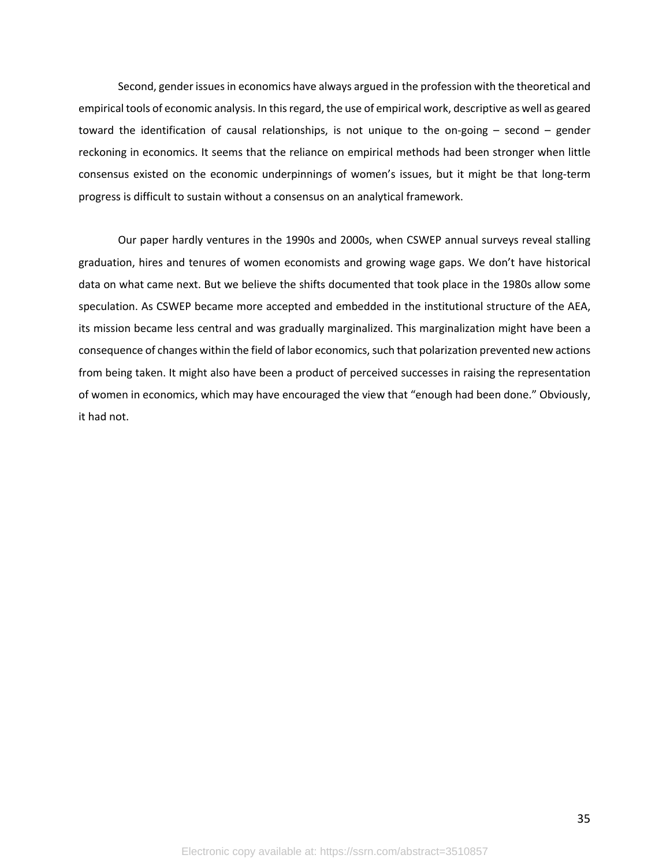Second, gender issues in economics have always argued in the profession with the theoretical and empirical tools of economic analysis. In this regard, the use of empirical work, descriptive as well as geared toward the identification of causal relationships, is not unique to the on-going – second – gender reckoning in economics. It seems that the reliance on empirical methods had been stronger when little consensus existed on the economic underpinnings of women's issues, but it might be that long-term progress is difficult to sustain without a consensus on an analytical framework.

Our paper hardly ventures in the 1990s and 2000s, when CSWEP annual surveys reveal stalling graduation, hires and tenures of women economists and growing wage gaps. We don't have historical data on what came next. But we believe the shifts documented that took place in the 1980s allow some speculation. As CSWEP became more accepted and embedded in the institutional structure of the AEA, its mission became less central and was gradually marginalized. This marginalization might have been a consequence of changes within the field of labor economics, such that polarization prevented new actions from being taken. It might also have been a product of perceived successes in raising the representation of women in economics, which may have encouraged the view that "enough had been done." Obviously, it had not.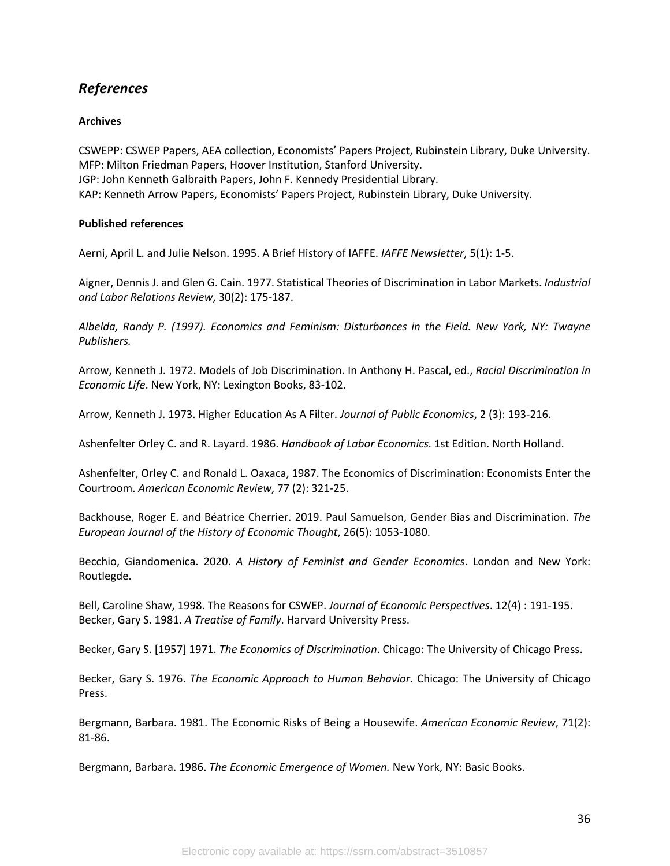# *References*

### **Archives**

CSWEPP: CSWEP Papers, AEA collection, Economists' Papers Project, Rubinstein Library, Duke University. MFP: Milton Friedman Papers, Hoover Institution, Stanford University. JGP: John Kenneth Galbraith Papers, John F. Kennedy Presidential Library. KAP: Kenneth Arrow Papers, Economists' Papers Project, Rubinstein Library, Duke University.

### **Published references**

Aerni, April L. and Julie Nelson. 1995. A Brief History of IAFFE. *IAFFE Newsletter*, 5(1): 1-5.

Aigner, Dennis J. and Glen G. Cain. 1977. Statistical Theories of Discrimination in Labor Markets. *Industrial and Labor Relations Review*, 30(2): 175-187.

*Albelda, Randy P. (1997). Economics and Feminism: Disturbances in the Field. New York, NY: Twayne Publishers.* 

Arrow, Kenneth J. 1972. Models of Job Discrimination. In Anthony H. Pascal, ed., *Racial Discrimination in Economic Life*. New York, NY: Lexington Books, 83-102.

Arrow, Kenneth J. 1973. Higher Education As A Filter. *Journal of Public Economics*, 2 (3): 193-216.

Ashenfelter Orley C. and R. Layard. 1986. *Handbook of Labor Economics.* 1st Edition. North Holland.

Ashenfelter, Orley C. and Ronald L. Oaxaca, 1987. The Economics of Discrimination: Economists Enter the Courtroom. *American Economic Review*, 77 (2): 321-25.

Backhouse, Roger E. and Béatrice Cherrier. 2019. Paul Samuelson, Gender Bias and Discrimination. *The European Journal of the History of Economic Thought*, 26(5): 1053-1080.

Becchio, Giandomenica. 2020. *A History of Feminist and Gender Economics*. London and New York: Routlegde.

Bell, Caroline Shaw, 1998. The Reasons for CSWEP. *Journal of Economic Perspectives*. 12(4) : 191-195. Becker, Gary S. 1981. *A Treatise of Family*. Harvard University Press.

Becker, Gary S. [1957] 1971. *The Economics of Discrimination*. Chicago: The University of Chicago Press.

Becker, Gary S. 1976. *The Economic Approach to Human Behavior*. Chicago: The University of Chicago Press.

Bergmann, Barbara. 1981. The Economic Risks of Being a Housewife. *American Economic Review*, 71(2): 81-86.

Bergmann, Barbara. 1986. *The Economic Emergence of Women.* New York, NY: Basic Books.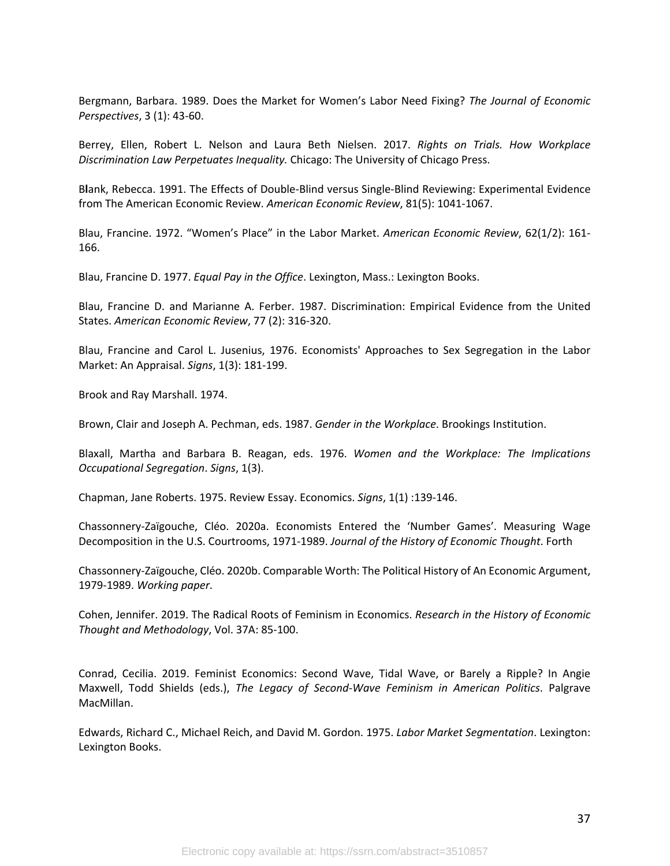Bergmann, Barbara. 1989. Does the Market for Women's Labor Need Fixing? *The Journal of Economic Perspectives*, 3 (1): 43-60.

Berrey, Ellen, Robert L. Nelson and Laura Beth Nielsen. 2017. *Rights on Trials. How Workplace Discrimination Law Perpetuates Inequality.* Chicago: The University of Chicago Press.

B**l**ank, Rebecca. 1991. The Effects of Double-Blind versus Single-Blind Reviewing: Experimental Evidence from The American Economic Review. *American Economic Review*, 81(5): 1041-1067.

Blau, Francine. 1972. "Women's Place" in the Labor Market. *American Economic Review*, 62(1/2): 161- 166.

Blau, Francine D. 1977. *Equal Pay in the Office*. Lexington, Mass.: Lexington Books.

Blau, Francine D. and Marianne A. Ferber. 1987. Discrimination: Empirical Evidence from the United States. *American Economic Review*, 77 (2): 316-320.

Blau, Francine and Carol L. Jusenius, 1976. Economists' Approaches to Sex Segregation in the Labor Market: An Appraisal. *Signs*, 1(3): 181-199.

Brook and Ray Marshall. 1974.

Brown, Clair and Joseph A. Pechman, eds. 1987. *Gender in the Workplace*. Brookings Institution.

Blaxall, Martha and Barbara B. Reagan, eds. 1976. *Women and the Workplace: The Implications Occupational Segregation*. *Signs*, 1(3).

Chapman, Jane Roberts. 1975. Review Essay. Economics. *Signs*, 1(1) :139-146.

Chassonnery-Zaïgouche, Cléo. 2020a. Economists Entered the 'Number Games'. Measuring Wage Decomposition in the U.S. Courtrooms, 1971-1989. *Journal of the History of Economic Thought*. Forth

Chassonnery-Zaïgouche, Cléo. 2020b. Comparable Worth: The Political History of An Economic Argument, 1979-1989. *Working paper*.

Cohen, Jennifer. 2019. The Radical Roots of Feminism in Economics. *Research in the History of Economic Thought and Methodology*, Vol. 37A: 85-100.

Conrad, Cecilia. 2019. Feminist Economics: Second Wave, Tidal Wave, or Barely a Ripple? In Angie Maxwell, Todd Shields (eds.), *The Legacy of Second-Wave Feminism in American Politics*. Palgrave MacMillan.

Edwards, Richard C., Michael Reich, and David M. Gordon. 1975. *Labor Market Segmentation*. Lexington: Lexington Books.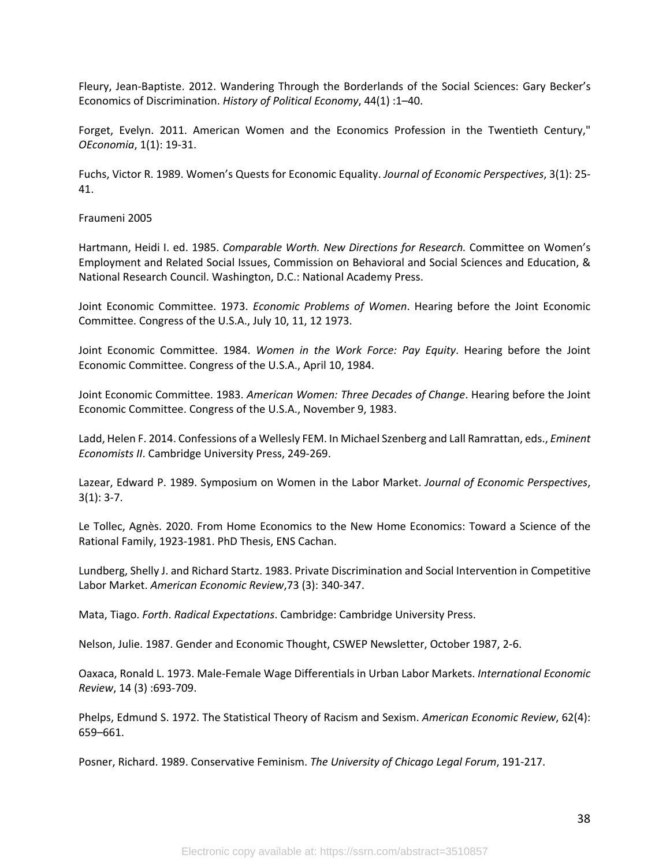Fleury, Jean-Baptiste. 2012. Wandering Through the Borderlands of the Social Sciences: Gary Becker's Economics of Discrimination. *History of Political Economy*, 44(1) :1–40.

Forget, Evelyn. 2011. American Women and the Economics Profession in the Twentieth Century," *OEconomia*, 1(1): 19-31.

Fuchs, Victor R. 1989. Women's Quests for Economic Equality. *Journal of Economic Perspectives*, 3(1): 25- 41.

Fraumeni 2005

Hartmann, Heidi I. ed. 1985. *Comparable Worth. New Directions for Research.* Committee on Women's Employment and Related Social Issues, Commission on Behavioral and Social Sciences and Education, & National Research Council. Washington, D.C.: National Academy Press.

Joint Economic Committee. 1973. *Economic Problems of Women*. Hearing before the Joint Economic Committee. Congress of the U.S.A., July 10, 11, 12 1973.

Joint Economic Committee. 1984. *Women in the Work Force: Pay Equity*. Hearing before the Joint Economic Committee. Congress of the U.S.A., April 10, 1984.

Joint Economic Committee. 1983. *American Women: Three Decades of Change*. Hearing before the Joint Economic Committee. Congress of the U.S.A., November 9, 1983.

Ladd, Helen F. 2014. Confessions of a Wellesly FEM. In Michael Szenberg and Lall Ramrattan, eds., *Eminent Economists II*. Cambridge University Press, 249-269.

Lazear, Edward P. 1989. Symposium on Women in the Labor Market. *Journal of Economic Perspectives*,  $3(1): 3-7.$ 

Le Tollec, Agnès. 2020. From Home Economics to the New Home Economics: Toward a Science of the Rational Family, 1923-1981. PhD Thesis, ENS Cachan.

Lundberg, Shelly J. and Richard Startz. 1983. Private Discrimination and Social Intervention in Competitive Labor Market. *American Economic Review*,73 (3): 340-347.

Mata, Tiago. *Forth*. *Radical Expectations*. Cambridge: Cambridge University Press.

Nelson, Julie. 1987. Gender and Economic Thought, CSWEP Newsletter, October 1987, 2-6.

Oaxaca, Ronald L. 1973. Male-Female Wage Differentials in Urban Labor Markets. *International Economic Review*, 14 (3) :693-709.

Phelps, Edmund S. 1972. The Statistical Theory of Racism and Sexism. *American Economic Review*, 62(4): 659–661.

Posner, Richard. 1989. Conservative Feminism. *The University of Chicago Legal Forum*, 191-217.